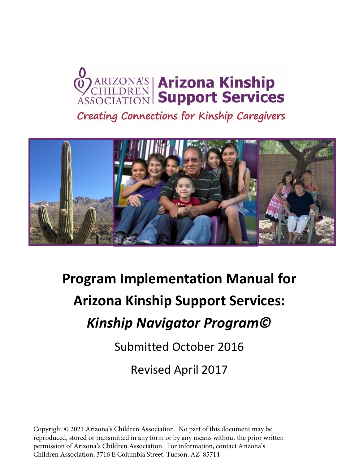# **OZARIZONA'S Arizona Kinship**<br>ASSOCIATION Support Services

Creating Connections for Kinship Caregivers



# **Program Implementation Manual for Arizona Kinship Support Services:**  *Kinship Navigator Program©*

Submitted October 2016

Revised April 2017

Copyright © 2021 Arizona's Children Association. No part of this document may be reproduced, stored or transmitted in any form or by any means without the prior written permission of Arizona's Children Association. For information, contact Arizona's Children Association, 3716 E Columbia Street, Tucson, AZ 85714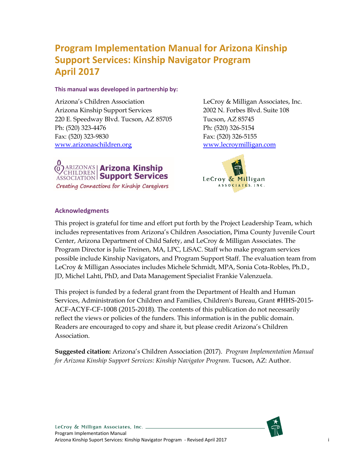## **Program Implementation Manual for Arizona Kinship Support Services: Kinship Navigator Program April 2017**

#### **This manual was developed in partnership by:**

Arizona's Children Association Arizona Kinship Support Services 220 E. Speedway Blvd. Tucson, AZ 85705 Ph: (520) 323-4476 Fax: (520) 323-9830 [www.arizonaschildren.org](http://www.arizonaschildren.org/) 

LeCroy & Milligan Associates, Inc. 2002 N. Forbes Blvd. Suite 108 Tucson, AZ 85745 Ph: (520) 326-5154 Fax: (520) 326-5155 [www.lecroymilligan.com](http://www.lecroymilligan.com/)



LeCroy & Milligan ASSOCIATES, INC.

#### **Acknowledgments**

This project is grateful for time and effort put forth by the Project Leadership Team, which includes representatives from Arizona's Children Association, Pima County Juvenile Court Center, Arizona Department of Child Safety, and LeCroy & Milligan Associates. The Program Director is Julie Treinen, MA, LPC, LiSAC. Staff who make program services possible include Kinship Navigators, and Program Support Staff. The evaluation team from LeCroy & Milligan Associates includes Michele Schmidt, MPA, Sonia Cota-Robles, Ph.D., JD, Michel Lahti, PhD, and Data Management Specialist Frankie Valenzuela.

This project is funded by a federal grant from the Department of Health and Human Services, Administration for Children and Families, Children's Bureau, Grant #HHS-2015- ACF-ACYF-CF-1008 (2015-2018). The contents of this publication do not necessarily reflect the views or policies of the funders. This information is in the public domain. Readers are encouraged to copy and share it, but please credit Arizona's Children Association.

**Suggested citation:** Arizona's Children Association (2017). *Program Implementation Manual for Arizona Kinship Support Services: Kinship Navigator Program.* Tucson, AZ: Author.

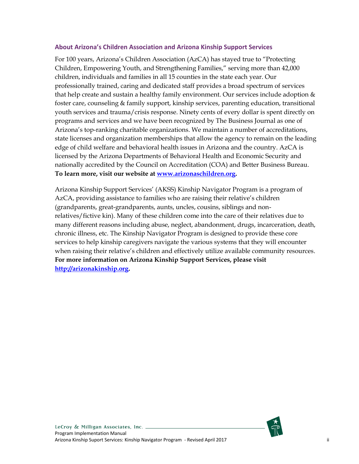#### **About Arizona's Children Association and Arizona Kinship Support Services**

For 100 years, Arizona's Children Association (AzCA) has stayed true to "Protecting Children, Empowering Youth, and Strengthening Families," serving more than 42,000 children, individuals and families in all 15 counties in the state each year. Our professionally trained, caring and dedicated staff provides a broad spectrum of services that help create and sustain a healthy family environment. Our services include adoption  $\&$ foster care, counseling & family support, kinship services, parenting education, transitional youth services and trauma/crisis response. Ninety cents of every dollar is spent directly on programs and services and we have been recognized by The Business Journal as one of Arizona's top-ranking charitable organizations. We maintain a number of accreditations, state licenses and organization memberships that allow the agency to remain on the leading edge of child welfare and behavioral health issues in Arizona and the country. AzCA is licensed by the Arizona Departments of Behavioral Health and Economic Security and nationally accredited by the Council on Accreditation (COA) and Better Business Bureau. **To learn more, visit our website at [www.arizonaschildren.org.](http://www.arizonaschildren.org/)**

Arizona Kinship Support Services' (AKSS) Kinship Navigator Program is a program of AzCA, providing assistance to families who are raising their relative's children (grandparents, great-grandparents, aunts, uncles, cousins, siblings and nonrelatives/fictive kin). Many of these children come into the care of their relatives due to many different reasons including abuse, neglect, abandonment, drugs, incarceration, death, chronic illness, etc. The Kinship Navigator Program is designed to provide these core services to help kinship caregivers navigate the various systems that they will encounter when raising their relative's children and effectively utilize available community resources. **For more information on Arizona Kinship Support Services, please visit [http://arizonakinship.org.](http://arizonakinship.org/)**

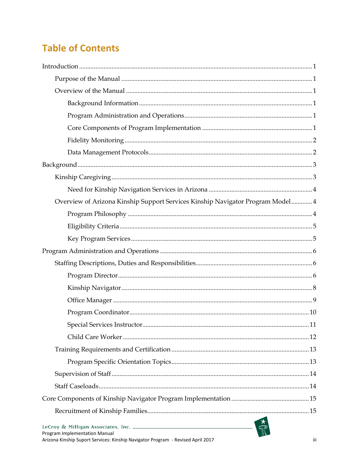## **Table of Contents**

| Overview of Arizona Kinship Support Services Kinship Navigator Program Model 4 |  |
|--------------------------------------------------------------------------------|--|
|                                                                                |  |
|                                                                                |  |
|                                                                                |  |
|                                                                                |  |
|                                                                                |  |
|                                                                                |  |
|                                                                                |  |
|                                                                                |  |
|                                                                                |  |
|                                                                                |  |
|                                                                                |  |
|                                                                                |  |
|                                                                                |  |
|                                                                                |  |
|                                                                                |  |
|                                                                                |  |
|                                                                                |  |
| Program Implementation Manual                                                  |  |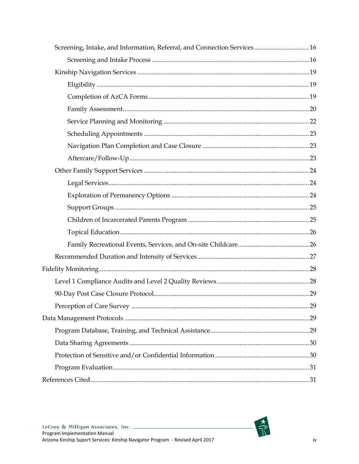| Screening, Intake, and Information, Referral, and Connection Services 16 |  |
|--------------------------------------------------------------------------|--|
|                                                                          |  |
|                                                                          |  |
|                                                                          |  |
|                                                                          |  |
|                                                                          |  |
|                                                                          |  |
|                                                                          |  |
|                                                                          |  |
|                                                                          |  |
|                                                                          |  |
|                                                                          |  |
|                                                                          |  |
|                                                                          |  |
|                                                                          |  |
|                                                                          |  |
|                                                                          |  |
|                                                                          |  |
|                                                                          |  |
|                                                                          |  |
|                                                                          |  |
|                                                                          |  |
|                                                                          |  |
|                                                                          |  |
|                                                                          |  |
|                                                                          |  |
|                                                                          |  |
|                                                                          |  |

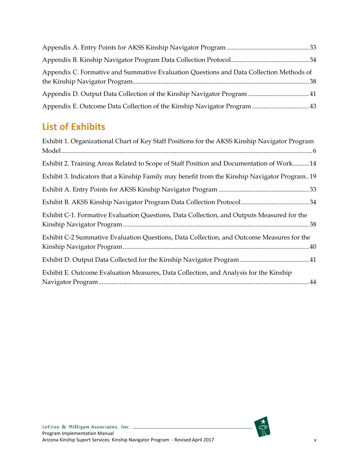| Appendix C. Formative and Summative Evaluation Questions and Data Collection Methods of |  |
|-----------------------------------------------------------------------------------------|--|
|                                                                                         |  |
|                                                                                         |  |

## **List of Exhibits**

| Exhibit 1. Organizational Chart of Key Staff Positions for the AKSS Kinship Navigator Program |
|-----------------------------------------------------------------------------------------------|
| Exhibit 2. Training Areas Related to Scope of Staff Position and Documentation of Work 14     |
| Exhibit 3. Indicators that a Kinship Family may benefit from the Kinship Navigator Program19  |
|                                                                                               |
|                                                                                               |
| Exhibit C-1. Formative Evaluation Questions, Data Collection, and Outputs Measured for the    |
| Exhibit C-2 Summative Evaluation Questions, Data Collection, and Outcome Measures for the     |
|                                                                                               |
| Exhibit E. Outcome Evaluation Measures, Data Collection, and Analysis for the Kinship         |



 $rac{1}{\sqrt{2}}$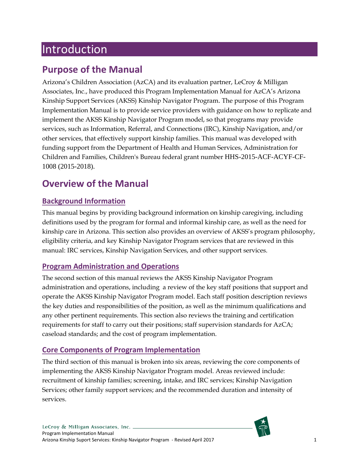# <span id="page-6-0"></span>Introduction

## <span id="page-6-1"></span>**Purpose of the Manual**

Arizona's Children Association (AzCA) and its evaluation partner, LeCroy & Milligan Associates, Inc., have produced this Program Implementation Manual for AzCA's Arizona Kinship Support Services (AKSS) Kinship Navigator Program. The purpose of this Program Implementation Manual is to provide service providers with guidance on how to replicate and implement the AKSS Kinship Navigator Program model, so that programs may provide services, such as Information, Referral, and Connections (IRC), Kinship Navigation, and/or other services, that effectively support kinship families. This manual was developed with funding support from the Department of Health and Human Services, Administration for Children and Families, Children's Bureau federal grant number HHS-2015-ACF-ACYF-CF-1008 (2015-2018).

## <span id="page-6-2"></span>**Overview of the Manual**

## <span id="page-6-3"></span>**Background Information**

This manual begins by providing background information on kinship caregiving, including definitions used by the program for formal and informal kinship care, as well as the need for kinship care in Arizona. This section also provides an overview of AKSS's program philosophy, eligibility criteria, and key Kinship Navigator Program services that are reviewed in this manual: IRC services, Kinship Navigation Services, and other support services.

## <span id="page-6-4"></span>**Program Administration and Operations**

The second section of this manual reviews the AKSS Kinship Navigator Program administration and operations, including a review of the key staff positions that support and operate the AKSS Kinship Navigator Program model. Each staff position description reviews the key duties and responsibilities of the position, as well as the minimum qualifications and any other pertinent requirements. This section also reviews the training and certification requirements for staff to carry out their positions; staff supervision standards for AzCA; caseload standards; and the cost of program implementation.

## <span id="page-6-5"></span>**Core Components of Program Implementation**

The third section of this manual is broken into six areas, reviewing the core components of implementing the AKSS Kinship Navigator Program model. Areas reviewed include: recruitment of kinship families; screening, intake, and IRC services; Kinship Navigation Services; other family support services; and the recommended duration and intensity of services.

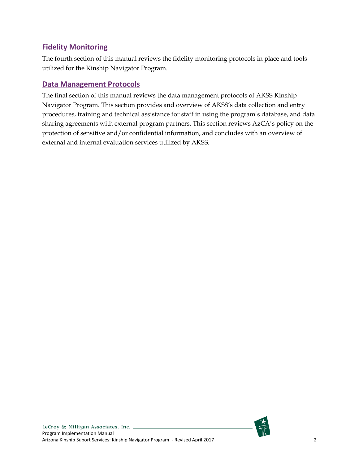## <span id="page-7-0"></span>**Fidelity Monitoring**

The fourth section of this manual reviews the fidelity monitoring protocols in place and tools utilized for the Kinship Navigator Program.

## <span id="page-7-1"></span>**Data Management Protocols**

The final section of this manual reviews the data management protocols of AKSS Kinship Navigator Program. This section provides and overview of AKSS's data collection and entry procedures, training and technical assistance for staff in using the program's database, and data sharing agreements with external program partners. This section reviews AzCA's policy on the protection of sensitive and/or confidential information, and concludes with an overview of external and internal evaluation services utilized by AKSS.

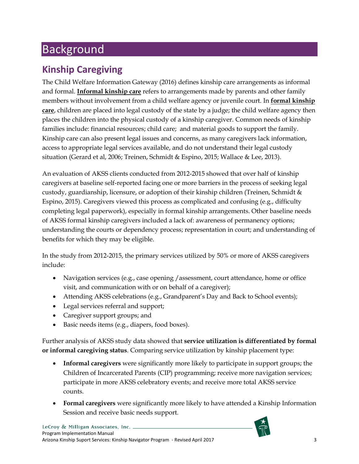# <span id="page-8-0"></span>Background

## <span id="page-8-1"></span>**Kinship Caregiving**

The Child Welfare Information Gateway (2016) defines kinship care arrangements as informal and formal. **Informal kinship care** refers to arrangements made by parents and other family members without involvement from a child welfare agency or juvenile court. In **formal kinship care**, children are placed into legal custody of the state by a judge; the child welfare agency then places the children into the physical custody of a kinship caregiver. Common needs of kinship families include: financial resources; child care; and material goods to support the family. Kinship care can also present legal issues and concerns, as many caregivers lack information, access to appropriate legal services available, and do not understand their legal custody situation (Gerard et al, 2006; Treinen, Schmidt & Espino, 2015; Wallace & Lee, 2013).

An evaluation of AKSS clients conducted from 2012-2015 showed that over half of kinship caregivers at baseline self-reported facing one or more barriers in the process of seeking legal custody, guardianship, licensure, or adoption of their kinship children (Treinen, Schmidt & Espino, 2015). Caregivers viewed this process as complicated and confusing (e.g., difficulty completing legal paperwork), especially in formal kinship arrangements. Other baseline needs of AKSS formal kinship caregivers included a lack of: awareness of permanency options; understanding the courts or dependency process; representation in court; and understanding of benefits for which they may be eligible.

In the study from 2012-2015, the primary services utilized by 50% or more of AKSS caregivers include:

- Navigation services (e.g., case opening / assessment, court attendance, home or office visit, and communication with or on behalf of a caregiver);
- Attending AKSS celebrations (e.g., Grandparent's Day and Back to School events);
- Legal services referral and support;
- Caregiver support groups; and
- Basic needs items (e.g., diapers, food boxes).

Further analysis of AKSS study data showed that **service utilization is differentiated by formal or informal caregiving status**. Comparing service utilization by kinship placement type:

- **Informal caregivers** were significantly more likely to participate in support groups; the Children of Incarcerated Parents (CIP) programming; receive more navigation services; participate in more AKSS celebratory events; and receive more total AKSS service counts.
- **Formal caregivers** were significantly more likely to have attended a Kinship Information Session and receive basic needs support.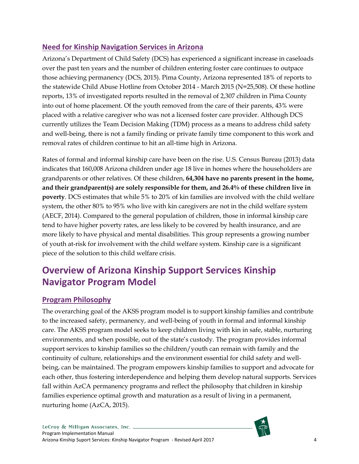## <span id="page-9-0"></span>**Need for Kinship Navigation Services in Arizona**

Arizona's Department of Child Safety (DCS) has experienced a significant increase in caseloads over the past ten years and the number of children entering foster care continues to outpace those achieving permanency (DCS, 2015). Pima County, Arizona represented 18% of reports to the statewide Child Abuse Hotline from October 2014 - March 2015 (N=25,508). Of these hotline reports, 13% of investigated reports resulted in the removal of 2,307 children in Pima County into out of home placement. Of the youth removed from the care of their parents, 43% were placed with a relative caregiver who was not a licensed foster care provider. Although DCS currently utilizes the Team Decision Making (TDM) process as a means to address child safety and well-being, there is not a family finding or private family time component to this work and removal rates of children continue to hit an all-time high in Arizona.

Rates of formal and informal kinship care have been on the rise. U.S. Census Bureau (2013) data indicates that 160,008 Arizona children under age 18 live in homes where the householders are grandparents or other relatives. Of these children, **64,304 have no parents present in the home, and their grandparent(s) are solely responsible for them, and 26.4% of these children live in poverty**. DCS estimates that while 5% to 20% of kin families are involved with the child welfare system, the other 80% to 95% who live with kin caregivers are not in the child welfare system (AECF, 2014). Compared to the general population of children, those in informal kinship care tend to have higher poverty rates, are less likely to be covered by health insurance, and are more likely to have physical and mental disabilities. This group represents a growing number of youth at-risk for involvement with the child welfare system. Kinship care is a significant piece of the solution to this child welfare crisis.

## <span id="page-9-1"></span>**Overview of Arizona Kinship Support Services Kinship Navigator Program Model**

## <span id="page-9-2"></span>**Program Philosophy**

The overarching goal of the AKSS program model is to support kinship families and contribute to the increased safety, permanency, and well-being of youth in formal and informal kinship care. The AKSS program model seeks to keep children living with kin in safe, stable, nurturing environments, and when possible, out of the state's custody. The program provides informal support services to kinship families so the children/youth can remain with family and the continuity of culture, relationships and the environment essential for child safety and wellbeing, can be maintained. The program empowers kinship families to support and advocate for each other, thus fostering interdependence and helping them develop natural supports. Services fall within AzCA permanency programs and reflect the philosophy that children in kinship families experience optimal growth and maturation as a result of living in a permanent, nurturing home (AzCA, 2015).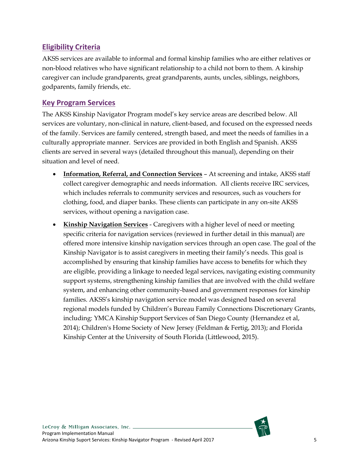## <span id="page-10-0"></span>**Eligibility Criteria**

AKSS services are available to informal and formal kinship families who are either relatives or non-blood relatives who have significant relationship to a child not born to them. A kinship caregiver can include grandparents, great grandparents, aunts, uncles, siblings, neighbors, godparents, family friends, etc.

## <span id="page-10-1"></span>**Key Program Services**

The AKSS Kinship Navigator Program model's key service areas are described below. All services are voluntary, non-clinical in nature, client-based, and focused on the expressed needs of the family. Services are family centered, strength based, and meet the needs of families in a culturally appropriate manner. Services are provided in both English and Spanish. AKSS clients are served in several ways (detailed throughout this manual), depending on their situation and level of need.

- **Information, Referral, and Connection Services** At screening and intake, AKSS staff collect caregiver demographic and needs information. All clients receive IRC services, which includes referrals to community services and resources, such as vouchers for clothing, food, and diaper banks. These clients can participate in any on-site AKSS services, without opening a navigation case.
- **Kinship Navigation Services** Caregivers with a higher level of need or meeting specific criteria for navigation services (reviewed in further detail in this manual) are offered more intensive kinship navigation services through an open case. The goal of the Kinship Navigator is to assist caregivers in meeting their family's needs. This goal is accomplished by ensuring that kinship families have access to benefits for which they are eligible, providing a linkage to needed legal services, navigating existing community support systems, strengthening kinship families that are involved with the child welfare system, and enhancing other community-based and government responses for kinship families. AKSS's kinship navigation service model was designed based on several regional models funded by Children's Bureau Family Connections Discretionary Grants, including: YMCA Kinship Support Services of San Diego County (Hernandez et al, 2014); Children's Home Society of New Jersey (Feldman & Fertig, 2013); and Florida Kinship Center at the University of South Florida (Littlewood, 2015).

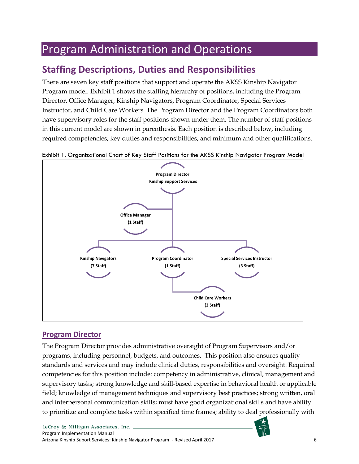# <span id="page-11-0"></span>Program Administration and Operations

## <span id="page-11-1"></span>**Staffing Descriptions, Duties and Responsibilities**

There are seven key staff positions that support and operate the AKSS Kinship Navigator Program model. Exhibit 1 shows the staffing hierarchy of positions, including the Program Director, Office Manager, Kinship Navigators, Program Coordinator, Special Services Instructor, and Child Care Workers. The Program Director and the Program Coordinators both have supervisory roles for the staff positions shown under them. The number of staff positions in this current model are shown in parenthesis. Each position is described below, including required competencies, key duties and responsibilities, and minimum and other qualifications.



<span id="page-11-3"></span>Exhibit 1. Organizational Chart of Key Staff Positions for the AKSS Kinship Navigator Program Model

## <span id="page-11-2"></span>**Program Director**

The Program Director provides administrative oversight of Program Supervisors and/or programs, including personnel, budgets, and outcomes. This position also ensures quality standards and services and may include clinical duties, responsibilities and oversight. Required competencies for this position include: competency in administrative, clinical, management and supervisory tasks; strong knowledge and skill-based expertise in behavioral health or applicable field; knowledge of management techniques and supervisory best practices; strong written, oral and interpersonal communication skills; must have good organizational skills and have ability to prioritize and complete tasks within specified time frames; ability to deal professionally with

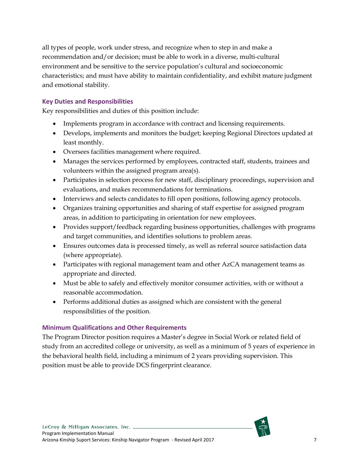all types of people, work under stress, and recognize when to step in and make a recommendation and/or decision; must be able to work in a diverse, multi-cultural environment and be sensitive to the service population's cultural and socioeconomic characteristics; and must have ability to maintain confidentiality, and exhibit mature judgment and emotional stability.

#### **Key Duties and Responsibilities**

Key responsibilities and duties of this position include:

- Implements program in accordance with contract and licensing requirements.
- Develops, implements and monitors the budget; keeping Regional Directors updated at least monthly.
- Oversees facilities management where required.
- Manages the services performed by employees, contracted staff, students, trainees and volunteers within the assigned program area(s).
- Participates in selection process for new staff, disciplinary proceedings, supervision and evaluations, and makes recommendations for terminations.
- Interviews and selects candidates to fill open positions, following agency protocols.
- Organizes training opportunities and sharing of staff expertise for assigned program areas, in addition to participating in orientation for new employees.
- Provides support/feedback regarding business opportunities, challenges with programs and target communities, and identifies solutions to problem areas.
- Ensures outcomes data is processed timely, as well as referral source satisfaction data (where appropriate).
- Participates with regional management team and other AzCA management teams as appropriate and directed.
- Must be able to safely and effectively monitor consumer activities, with or without a reasonable accommodation.
- Performs additional duties as assigned which are consistent with the general responsibilities of the position.

#### **Minimum Qualifications and Other Requirements**

The Program Director position requires a Master's degree in Social Work or related field of study from an accredited college or university, as well as a minimum of 5 years of experience in the behavioral health field, including a minimum of 2 years providing supervision. This position must be able to provide DCS fingerprint clearance.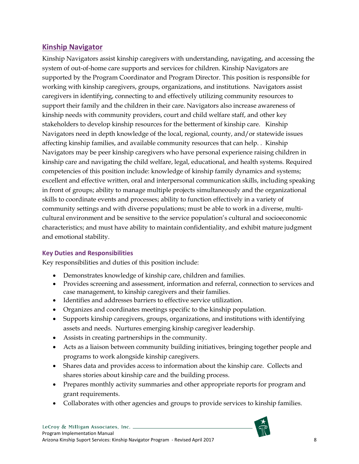## <span id="page-13-0"></span>**Kinship Navigator**

Kinship Navigators assist kinship caregivers with understanding, navigating, and accessing the system of out-of-home care supports and services for children. Kinship Navigators are supported by the Program Coordinator and Program Director. This position is responsible for working with kinship caregivers, groups, organizations, and institutions. Navigators assist caregivers in identifying, connecting to and effectively utilizing community resources to support their family and the children in their care. Navigators also increase awareness of kinship needs with community providers, court and child welfare staff, and other key stakeholders to develop kinship resources for the betterment of kinship care. Kinship Navigators need in depth knowledge of the local, regional, county, and/or statewide issues affecting kinship families, and available community resources that can help. . Kinship Navigators may be peer kinship caregivers who have personal experience raising children in kinship care and navigating the child welfare, legal, educational, and health systems. Required competencies of this position include: knowledge of kinship family dynamics and systems; excellent and effective written, oral and interpersonal communication skills, including speaking in front of groups; ability to manage multiple projects simultaneously and the organizational skills to coordinate events and processes; ability to function effectively in a variety of community settings and with diverse populations; must be able to work in a diverse, multicultural environment and be sensitive to the service population's cultural and socioeconomic characteristics; and must have ability to maintain confidentiality, and exhibit mature judgment and emotional stability.

#### **Key Duties and Responsibilities**

Key responsibilities and duties of this position include:

- Demonstrates knowledge of kinship care, children and families.
- Provides screening and assessment, information and referral, connection to services and case management, to kinship caregivers and their families.
- Identifies and addresses barriers to effective service utilization.
- Organizes and coordinates meetings specific to the kinship population.
- Supports kinship caregivers, groups, organizations, and institutions with identifying assets and needs. Nurtures emerging kinship caregiver leadership.
- Assists in creating partnerships in the community.
- Acts as a liaison between community building initiatives, bringing together people and programs to work alongside kinship caregivers.
- Shares data and provides access to information about the kinship care. Collects and shares stories about kinship care and the building process.
- Prepares monthly activity summaries and other appropriate reports for program and grant requirements.
- Collaborates with other agencies and groups to provide services to kinship families.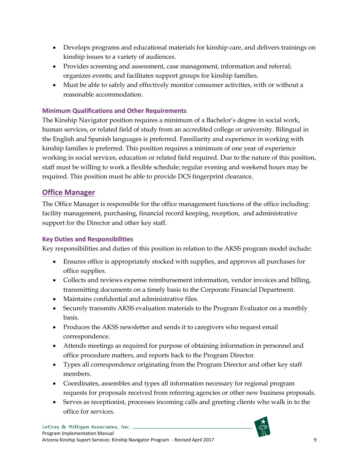- Develops programs and educational materials for kinship care, and delivers trainings on kinship issues to a variety of audiences.
- Provides screening and assessment, case management, information and referral; organizes events; and facilitates support groups for kinship families.
- Must be able to safely and effectively monitor consumer activities, with or without a reasonable accommodation.

#### **Minimum Qualifications and Other Requirements**

The Kinship Navigator position requires a minimum of a Bachelor's degree in social work, human services, or related field of study from an accredited college or university. Bilingual in the English and Spanish languages is preferred. Familiarity and experience in working with kinship families is preferred. This position requires a minimum of one year of experience working in social services, education or related field required. Due to the nature of this position, staff must be willing to work a flexible schedule; regular evening and weekend hours may be required. This position must be able to provide DCS fingerprint clearance.

## <span id="page-14-0"></span>**Office Manager**

The Office Manager is responsible for the office management functions of the office including: facility management, purchasing, financial record keeping, reception, and administrative support for the Director and other key staff.

#### **Key Duties and Responsibilities**

Key responsibilities and duties of this position in relation to the AKSS program model include:

- Ensures office is appropriately stocked with supplies, and approves all purchases for office supplies.
- Collects and reviews expense reimbursement information, vendor invoices and billing, transmitting documents on a timely basis to the Corporate Financial Department.
- Maintains confidential and administrative files.
- Securely transmits AKSS evaluation materials to the Program Evaluator on a monthly basis.
- Produces the AKSS newsletter and sends it to caregivers who request email correspondence.
- Attends meetings as required for purpose of obtaining information in personnel and office procedure matters, and reports back to the Program Director.
- Types all correspondence originating from the Program Director and other key staff members.
- Coordinates, assembles and types all information necessary for regional program requests for proposals received from referring agencies or other new business proposals.
- Serves as receptionist, processes incoming calls and greeting clients who walk in to the office for services.

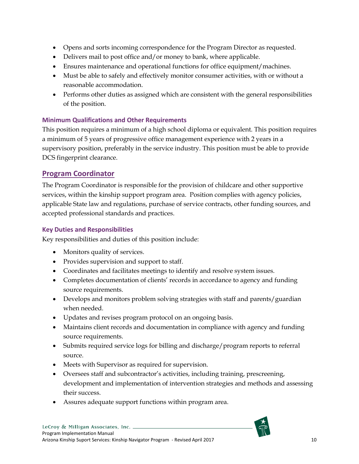- Opens and sorts incoming correspondence for the Program Director as requested.
- Delivers mail to post office and/or money to bank, where applicable.
- Ensures maintenance and operational functions for office equipment/machines.
- Must be able to safely and effectively monitor consumer activities, with or without a reasonable accommodation.
- Performs other duties as assigned which are consistent with the general responsibilities of the position.

#### **Minimum Qualifications and Other Requirements**

This position requires a minimum of a high school diploma or equivalent. This position requires a minimum of 5 years of progressive office management experience with 2 years in a supervisory position, preferably in the service industry. This position must be able to provide DCS fingerprint clearance.

#### <span id="page-15-0"></span>**Program Coordinator**

The Program Coordinator is responsible for the provision of childcare and other supportive services, within the kinship support program area. Position complies with agency policies, applicable State law and regulations, purchase of service contracts, other funding sources, and accepted professional standards and practices.

#### **Key Duties and Responsibilities**

Key responsibilities and duties of this position include:

- Monitors quality of services.
- Provides supervision and support to staff.
- Coordinates and facilitates meetings to identify and resolve system issues.
- Completes documentation of clients' records in accordance to agency and funding source requirements.
- Develops and monitors problem solving strategies with staff and parents/guardian when needed.
- Updates and revises program protocol on an ongoing basis.
- Maintains client records and documentation in compliance with agency and funding source requirements.
- Submits required service logs for billing and discharge/program reports to referral source.
- Meets with Supervisor as required for supervision.
- Oversees staff and subcontractor's activities, including training, prescreening, development and implementation of intervention strategies and methods and assessing their success.
- Assures adequate support functions within program area.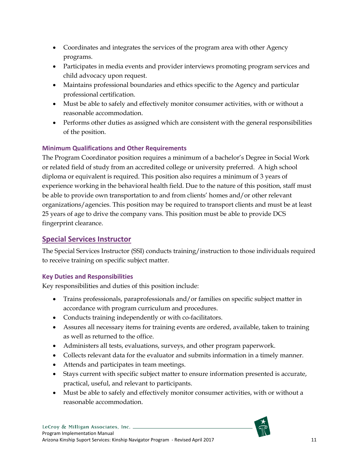- Coordinates and integrates the services of the program area with other Agency programs.
- Participates in media events and provider interviews promoting program services and child advocacy upon request.
- Maintains professional boundaries and ethics specific to the Agency and particular professional certification.
- Must be able to safely and effectively monitor consumer activities, with or without a reasonable accommodation.
- Performs other duties as assigned which are consistent with the general responsibilities of the position.

## **Minimum Qualifications and Other Requirements**

The Program Coordinator position requires a minimum of a bachelor's Degree in Social Work or related field of study from an accredited college or university preferred. A high school diploma or equivalent is required. This position also requires a minimum of 3 years of experience working in the behavioral health field. Due to the nature of this position, staff must be able to provide own transportation to and from clients' homes and/or other relevant organizations/agencies. This position may be required to transport clients and must be at least 25 years of age to drive the company vans. This position must be able to provide DCS fingerprint clearance.

## <span id="page-16-0"></span>**Special Services Instructor**

The Special Services Instructor (SSI) conducts training/instruction to those individuals required to receive training on specific subject matter.

#### **Key Duties and Responsibilities**

Key responsibilities and duties of this position include:

- Trains professionals, paraprofessionals and/or families on specific subject matter in accordance with program curriculum and procedures.
- Conducts training independently or with co-facilitators.
- Assures all necessary items for training events are ordered, available, taken to training as well as returned to the office.
- Administers all tests, evaluations, surveys, and other program paperwork.
- Collects relevant data for the evaluator and submits information in a timely manner.
- Attends and participates in team meetings.
- Stays current with specific subject matter to ensure information presented is accurate, practical, useful, and relevant to participants.
- Must be able to safely and effectively monitor consumer activities, with or without a reasonable accommodation.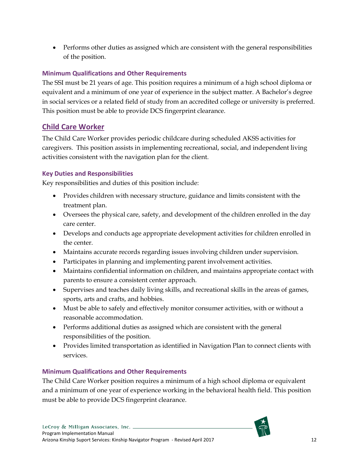• Performs other duties as assigned which are consistent with the general responsibilities of the position.

#### **Minimum Qualifications and Other Requirements**

The SSI must be 21 years of age. This position requires a minimum of a high school diploma or equivalent and a minimum of one year of experience in the subject matter. A Bachelor's degree in social services or a related field of study from an accredited college or university is preferred. This position must be able to provide DCS fingerprint clearance.

## <span id="page-17-0"></span>**Child Care Worker**

The Child Care Worker provides periodic childcare during scheduled AKSS activities for caregivers. This position assists in implementing recreational, social, and independent living activities consistent with the navigation plan for the client.

#### **Key Duties and Responsibilities**

Key responsibilities and duties of this position include:

- Provides children with necessary structure, guidance and limits consistent with the treatment plan.
- Oversees the physical care, safety, and development of the children enrolled in the day care center.
- Develops and conducts age appropriate development activities for children enrolled in the center.
- Maintains accurate records regarding issues involving children under supervision.
- Participates in planning and implementing parent involvement activities.
- Maintains confidential information on children, and maintains appropriate contact with parents to ensure a consistent center approach.
- Supervises and teaches daily living skills, and recreational skills in the areas of games, sports, arts and crafts, and hobbies.
- Must be able to safely and effectively monitor consumer activities, with or without a reasonable accommodation.
- Performs additional duties as assigned which are consistent with the general responsibilities of the position.
- Provides limited transportation as identified in Navigation Plan to connect clients with services.

#### **Minimum Qualifications and Other Requirements**

The Child Care Worker position requires a minimum of a high school diploma or equivalent and a minimum of one year of experience working in the behavioral health field. This position must be able to provide DCS fingerprint clearance.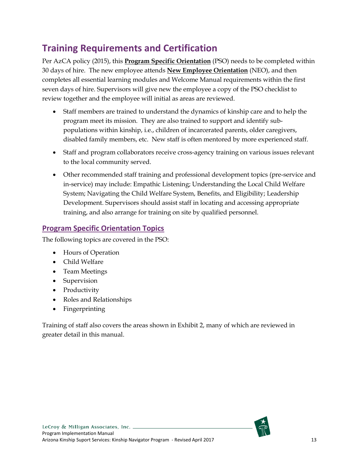## <span id="page-18-0"></span>**Training Requirements and Certification**

Per AzCA policy (2015), this **Program Specific Orientation** (PSO) needs to be completed within 30 days of hire. The new employee attends **New Employee Orientation** (NEO), and then completes all essential learning modules and Welcome Manual requirements within the first seven days of hire. Supervisors will give new the employee a copy of the PSO checklist to review together and the employee will initial as areas are reviewed.

- Staff members are trained to understand the dynamics of kinship care and to help the program meet its mission. They are also trained to support and identify subpopulations within kinship, i.e., children of incarcerated parents, older caregivers, disabled family members, etc. New staff is often mentored by more experienced staff.
- Staff and program collaborators receive cross-agency training on various issues relevant to the local community served.
- Other recommended staff training and professional development topics (pre-service and in-service) may include: Empathic Listening; Understanding the Local Child Welfare System; Navigating the Child Welfare System, Benefits, and Eligibility; Leadership Development. Supervisors should assist staff in locating and accessing appropriate training, and also arrange for training on site by qualified personnel.

## <span id="page-18-1"></span>**Program Specific Orientation Topics**

The following topics are covered in the PSO:

- Hours of Operation
- Child Welfare
- Team Meetings
- Supervision
- Productivity
- Roles and Relationships
- Fingerprinting

<span id="page-18-2"></span>Training of staff also covers the areas shown in Exhibit 2, many of which are reviewed in greater detail in this manual.

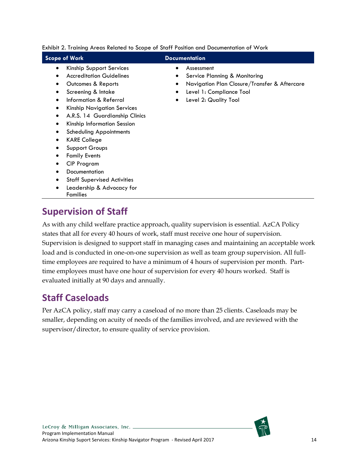| <b>Scope of Work</b><br><b>Documentation</b><br>Kinship Support Services<br>Assessment<br>٠<br><b>Accreditation Guidelines</b><br>Service Planning & Monitoring<br>٠<br>Navigation Plan Closure/Transfer & Aftercare<br>Outcomes & Reports<br>٠<br>Level 1: Compliance Tool<br>Screening & Intake<br>$\bullet$<br>Information & Referral<br>Level 2: Quality Tool<br>٠<br><b>Kinship Navigation Services</b><br>٠<br>A.R.S. 14 Guardianship Clinics<br>٠<br>Kinship Information Session<br>٠<br><b>Scheduling Appointments</b><br><b>KARE College</b><br><b>Support Groups</b><br><b>Family Events</b><br><b>CIP Program</b><br>Documentation<br><b>Staff Supervised Activities</b><br>$\bullet$<br>Leadership & Advocacy for | Exhibit 2. Training Areas Related to Scope of Staff Position and Documentation of VVork |  |  |  |  |  |  |
|-------------------------------------------------------------------------------------------------------------------------------------------------------------------------------------------------------------------------------------------------------------------------------------------------------------------------------------------------------------------------------------------------------------------------------------------------------------------------------------------------------------------------------------------------------------------------------------------------------------------------------------------------------------------------------------------------------------------------------|-----------------------------------------------------------------------------------------|--|--|--|--|--|--|
|                                                                                                                                                                                                                                                                                                                                                                                                                                                                                                                                                                                                                                                                                                                               |                                                                                         |  |  |  |  |  |  |
|                                                                                                                                                                                                                                                                                                                                                                                                                                                                                                                                                                                                                                                                                                                               |                                                                                         |  |  |  |  |  |  |

Families

## <span id="page-19-0"></span>**Supervision of Staff**

As with any child welfare practice approach, quality supervision is essential. AzCA Policy states that all for every 40 hours of work, staff must receive one hour of supervision. Supervision is designed to support staff in managing cases and maintaining an acceptable work load and is conducted in one-on-one supervision as well as team group supervision. All fulltime employees are required to have a minimum of 4 hours of supervision per month. Parttime employees must have one hour of supervision for every 40 hours worked. Staff is evaluated initially at 90 days and annually.

## <span id="page-19-1"></span>**Staff Caseloads**

Per AzCA policy, staff may carry a caseload of no more than 25 clients. Caseloads may be smaller, depending on acuity of needs of the families involved, and are reviewed with the supervisor/director, to ensure quality of service provision.

Exhibit 2. Training Areas Related to Scope of Staff Position and Documentation of Work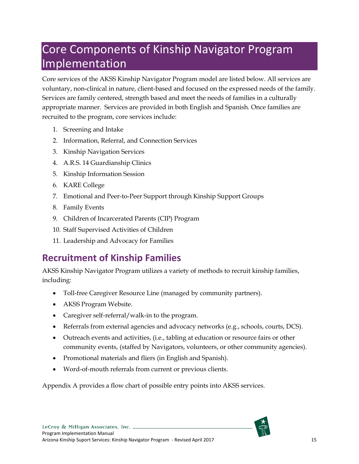# <span id="page-20-0"></span>Core Components of Kinship Navigator Program Implementation

Core services of the AKSS Kinship Navigator Program model are listed below. All services are voluntary, non-clinical in nature, client-based and focused on the expressed needs of the family. Services are family centered, strength based and meet the needs of families in a culturally appropriate manner. Services are provided in both English and Spanish. Once families are recruited to the program, core services include:

- 1. Screening and Intake
- 2. Information, Referral, and Connection Services
- 3. Kinship Navigation Services
- 4. A.R.S. 14 Guardianship Clinics
- 5. Kinship Information Session
- 6. KARE College
- 7. Emotional and Peer-to-Peer Support through Kinship Support Groups
- 8. Family Events
- 9. Children of Incarcerated Parents (CIP) Program
- 10. Staff Supervised Activities of Children
- 11. Leadership and Advocacy for Families

## <span id="page-20-1"></span>**Recruitment of Kinship Families**

AKSS Kinship Navigator Program utilizes a variety of methods to recruit kinship families, including:

- Toll-free Caregiver Resource Line (managed by community partners).
- AKSS Program Website.
- Caregiver self-referral/walk-in to the program.
- Referrals from external agencies and advocacy networks (e.g., schools, courts, DCS).
- Outreach events and activities, (i.e., tabling at education or resource fairs or other community events, (staffed by Navigators, volunteers, or other community agencies).
- Promotional materials and fliers (in English and Spanish).
- Word-of-mouth referrals from current or previous clients.

Appendix A provides a flow chart of possible entry points into AKSS services.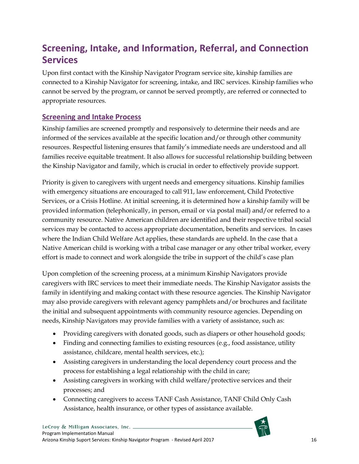## <span id="page-21-0"></span>**Screening, Intake, and Information, Referral, and Connection Services**

Upon first contact with the Kinship Navigator Program service site, kinship families are connected to a Kinship Navigator for screening, intake, and IRC services. Kinship families who cannot be served by the program, or cannot be served promptly, are referred or connected to appropriate resources.

## <span id="page-21-1"></span>**Screening and Intake Process**

Kinship families are screened promptly and responsively to determine their needs and are informed of the services available at the specific location and/or through other community resources. Respectful listening ensures that family's immediate needs are understood and all families receive equitable treatment. It also allows for successful relationship building between the Kinship Navigator and family, which is crucial in order to effectively provide support.

Priority is given to caregivers with urgent needs and emergency situations. Kinship families with emergency situations are encouraged to call 911, law enforcement, Child Protective Services, or a Crisis Hotline. At initial screening, it is determined how a kinship family will be provided information (telephonically, in person, email or via postal mail) and/or referred to a community resource. Native American children are identified and their respective tribal social services may be contacted to access appropriate documentation, benefits and services. In cases where the Indian Child Welfare Act applies, these standards are upheld. In the case that a Native American child is working with a tribal case manager or any other tribal worker, every effort is made to connect and work alongside the tribe in support of the child's case plan

Upon completion of the screening process, at a minimum Kinship Navigators provide caregivers with IRC services to meet their immediate needs. The Kinship Navigator assists the family in identifying and making contact with these resource agencies. The Kinship Navigator may also provide caregivers with relevant agency pamphlets and/or brochures and facilitate the initial and subsequent appointments with community resource agencies. Depending on needs, Kinship Navigators may provide families with a variety of assistance, such as:

- Providing caregivers with donated goods, such as diapers or other household goods;
- Finding and connecting families to existing resources (e.g., food assistance, utility assistance, childcare, mental health services, etc.);
- Assisting caregivers in understanding the local dependency court process and the process for establishing a legal relationship with the child in care;
- Assisting caregivers in working with child welfare/protective services and their processes; and
- Connecting caregivers to access TANF Cash Assistance, TANF Child Only Cash Assistance, health insurance, or other types of assistance available.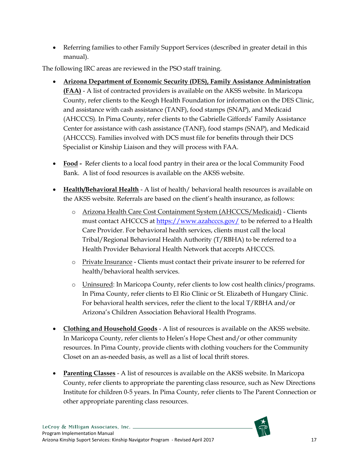• Referring families to other Family Support Services (described in greater detail in this manual).

The following IRC areas are reviewed in the PSO staff training.

- **Arizona Department of Economic Security (DES), Family Assistance Administration (FAA)** - A list of contracted providers is available on the AKSS website. In Maricopa County, refer clients to the Keogh Health Foundation for information on the DES Clinic, and assistance with cash assistance (TANF), food stamps (SNAP), and Medicaid (AHCCCS). In Pima County, refer clients to the Gabrielle Giffords' Family Assistance Center for assistance with cash assistance (TANF), food stamps (SNAP), and Medicaid (AHCCCS). Families involved with DCS must file for benefits through their DCS Specialist or Kinship Liaison and they will process with FAA.
- **Food -** Refer clients to a local food pantry in their area or the local Community Food Bank. A list of food resources is available on the AKSS website.
- **Health/Behavioral Health** A list of health/ behavioral health resources is available on the AKSS website. Referrals are based on the client's health insurance, as follows:
	- o Arizona Health Care Cost Containment System (AHCCCS/Medicaid) Clients must contact AHCCCS at<https://www.azahcccs.gov/> to be referred to a Health Care Provider. For behavioral health services, clients must call the local Tribal/Regional Behavioral Health Authority (T/RBHA) to be referred to a Health Provider Behavioral Health Network that accepts AHCCCS.
	- o Private Insurance Clients must contact their private insurer to be referred for health/behavioral health services.
	- o Uninsured: In Maricopa County, refer clients to low cost health clinics/programs. In Pima County, refer clients to El Rio Clinic or St. Elizabeth of Hungary Clinic. For behavioral health services, refer the client to the local T/RBHA and/or Arizona's Children Association Behavioral Health Programs.
- **Clothing and Household Goods** A list of resources is available on the AKSS website. In Maricopa County, refer clients to Helen's Hope Chest and/or other community resources. In Pima County, provide clients with clothing vouchers for the Community Closet on an as-needed basis, as well as a list of local thrift stores.
- **Parenting Classes** A list of resources is available on the AKSS website. In Maricopa County, refer clients to appropriate the parenting class resource, such as New Directions Institute for children 0-5 years. In Pima County, refer clients to The Parent Connection or other appropriate parenting class resources.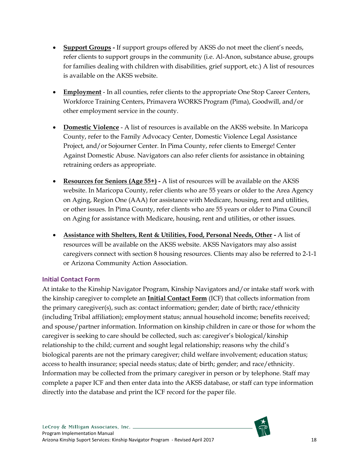- **Support Groups -** If support groups offered by AKSS do not meet the client's needs, refer clients to support groups in the community (i.e. Al-Anon, substance abuse, groups for families dealing with children with disabilities, grief support, etc.) A list of resources is available on the AKSS website.
- **Employment** In all counties, refer clients to the appropriate One Stop Career Centers, Workforce Training Centers, Primavera WORKS Program (Pima), Goodwill, and/or other employment service in the county.
- **Domestic Violence** A list of resources is available on the AKSS website. In Maricopa County, refer to the Family Advocacy Center, Domestic Violence Legal Assistance Project, and/or Sojourner Center. In Pima County, refer clients to Emerge! Center Against Domestic Abuse. Navigators can also refer clients for assistance in obtaining retraining orders as appropriate.
- **Resources for Seniors (Age 55+) -** A list of resources will be available on the AKSS website. In Maricopa County, refer clients who are 55 years or older to the Area Agency on Aging, Region One (AAA) for assistance with Medicare, housing, rent and utilities, or other issues. In Pima County, refer clients who are 55 years or older to Pima Council on Aging for assistance with Medicare, housing, rent and utilities, or other issues.
- **Assistance with Shelters, Rent & Utilities, Food, Personal Needs, Other -** A list of resources will be available on the AKSS website. AKSS Navigators may also assist caregivers connect with section 8 housing resources. Clients may also be referred to 2-1-1 or Arizona Community Action Association.

#### **Initial Contact Form**

At intake to the Kinship Navigator Program, Kinship Navigators and/or intake staff work with the kinship caregiver to complete an **Initial Contact Form** (ICF) that collects information from the primary caregiver(s), such as: contact information; gender; date of birth; race/ethnicity (including Tribal affiliation); employment status; annual household income; benefits received; and spouse/partner information. Information on kinship children in care or those for whom the caregiver is seeking to care should be collected, such as: caregiver's biological/kinship relationship to the child; current and sought legal relationship; reasons why the child's biological parents are not the primary caregiver; child welfare involvement; education status; access to health insurance; special needs status; date of birth; gender; and race/ethnicity. Information may be collected from the primary caregiver in person or by telephone. Staff may complete a paper ICF and then enter data into the AKSS database, or staff can type information directly into the database and print the ICF record for the paper file.

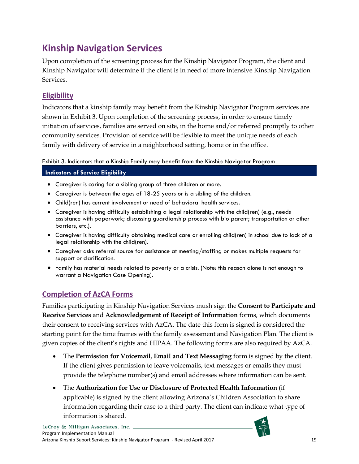## <span id="page-24-0"></span>**Kinship Navigation Services**

Upon completion of the screening process for the Kinship Navigator Program, the client and Kinship Navigator will determine if the client is in need of more intensive Kinship Navigation Services.

## <span id="page-24-1"></span>**Eligibility**

Indicators that a kinship family may benefit from the Kinship Navigator Program services are shown in Exhibit 3. Upon completion of the screening process, in order to ensure timely initiation of services, families are served on site, in the home and/or referred promptly to other community services. Provision of service will be flexible to meet the unique needs of each family with delivery of service in a neighborhood setting, home or in the office.

<span id="page-24-3"></span>Exhibit 3. Indicators that a Kinship Family may benefit from the Kinship Navigator Program

**Indicators of Service Eligibility**

- Caregiver is caring for a sibling group of three children or more.
- Caregiver is between the ages of 18-25 years or is a sibling of the children.
- Child(ren) has current involvement or need of behavioral health services.
- Caregiver is having difficulty establishing a legal relationship with the child(ren) (e.g., needs assistance with paperwork; discussing guardianship process with bio parent; transportation or other barriers, etc.).
- Caregiver is having difficulty obtaining medical care or enrolling child(ren) in school due to lack of a legal relationship with the child(ren).
- Caregiver asks referral source for assistance at meeting/staffing or makes multiple requests for support or clarification.
- Family has material needs related to poverty or a crisis. (Note: this reason alone is not enough to warrant a Navigation Case Opening).

## <span id="page-24-2"></span>**Completion of AzCA Forms**

Families participating in Kinship Navigation Services mush sign the **Consent to Participate and Receive Services** and **Acknowledgement of Receipt of Information** forms, which documents their consent to receiving services with AzCA. The date this form is signed is considered the starting point for the time frames with the family assessment and Navigation Plan. The client is given copies of the client's rights and HIPAA. The following forms are also required by AzCA.

- The **Permission for Voicemail, Email and Text Messaging** form is signed by the client. If the client gives permission to leave voicemails, text messages or emails they must provide the telephone number(s) and email addresses where information can be sent.
- The **Authorization for Use or Disclosure of Protected Health Information** (if applicable) is signed by the client allowing Arizona's Children Association to share information regarding their case to a third party. The client can indicate what type of information is shared.

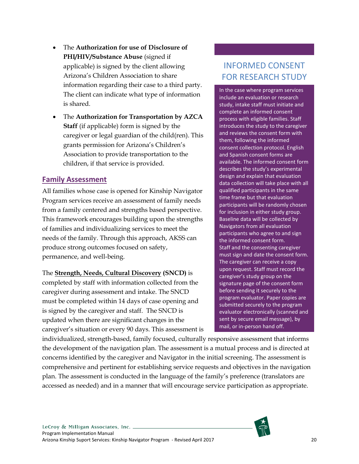- The **Authorization for use of Disclosure of PHI/HIV/Substance Abuse** (signed if applicable) is signed by the client allowing Arizona's Children Association to share information regarding their case to a third party. The client can indicate what type of information is shared.
- The **Authorization for Transportation by AZCA Staff** (if applicable) form is signed by the caregiver or legal guardian of the child(ren). This grants permission for Arizona's Children's Association to provide transportation to the children, if that service is provided.

#### <span id="page-25-0"></span>**Family Assessment**

All families whose case is opened for Kinship Navigator Program services receive an assessment of family needs from a family centered and strengths based perspective. This framework encourages building upon the strengths of families and individualizing services to meet the needs of the family. Through this approach, AKSS can produce strong outcomes focused on safety, permanence, and well-being.

#### The **Strength, Needs, Cultural Discovery (SNCD)** is

completed by staff with information collected from the caregiver during assessment and intake. The SNCD must be completed within 14 days of case opening and is signed by the caregiver and staff. The SNCD is updated when there are significant changes in the caregiver's situation or every 90 days. This assessment is

## INFORMED CONSENT FOR RESEARCH STUDY

In the case where program services include an evaluation or research study, intake staff must initiate and complete an informed consent process with eligible families. Staff introduces the study to the caregiver and reviews the consent form with them, following the informed consent collection protocol. English and Spanish consent forms are available. The informed consent form describes the study's experimental design and explain that evaluation data collection will take place with all qualified participants in the same time frame but that evaluation participants will be randomly chosen for inclusion in either study group. Baseline data will be collected by Navigators from all evaluation participants who agree to and sign the informed consent form. Staff and the consenting caregiver must sign and date the consent form. The caregiver can receive a copy upon request. Staff must record the caregiver's study group on the signature page of the consent form before sending it securely to the program evaluator. Paper copies are submitted securely to the program evaluator electronically (scanned and sent by secure email message), by mail, or in-person hand off.

individualized, strength-based, family focused, culturally responsive assessment that informs the development of the navigation plan. The assessment is a mutual process and is directed at concerns identified by the caregiver and Navigator in the initial screening. The assessment is comprehensive and pertinent for establishing service requests and objectives in the navigation plan. The assessment is conducted in the language of the family's preference (translators are accessed as needed) and in a manner that will encourage service participation as appropriate.

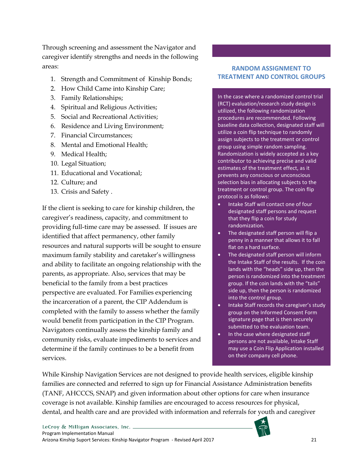Through screening and assessment the Navigator and caregiver identify strengths and needs in the following areas:

- 1. Strength and Commitment of Kinship Bonds;
- 2. How Child Came into Kinship Care;
- 3. Family Relationships;
- 4. Spiritual and Religious Activities;
- 5. Social and Recreational Activities;
- 6. Residence and Living Environment;
- 7. Financial Circumstances;
- 8. Mental and Emotional Health;
- 9. Medical Health;
- 10. Legal Situation;
- 11. Educational and Vocational;
- 12. Culture; and
- 13. Crisis and Safety .

If the client is seeking to care for kinship children, the caregiver's readiness, capacity, and commitment to providing full-time care may be assessed. If issues are identified that affect permanency, other family resources and natural supports will be sought to ensure maximum family stability and caretaker's willingness and ability to facilitate an ongoing relationship with the parents, as appropriate. Also, services that may be beneficial to the family from a best practices perspective are evaluated. For Families experiencing the incarceration of a parent, the CIP Addendum is completed with the family to assess whether the family would benefit from participation in the CIP Program. Navigators continually assess the kinship family and community risks, evaluate impediments to services and determine if the family continues to be a benefit from services.

#### **RANDOM ASSIGNMENT TO TREATMENT AND CONTROL GROUPS**

In the case where a randomized control trial (RCT) evaluation/research study design is utilized, the following randomization procedures are recommended. Following baseline data collection, designated staff will utilize a coin flip technique to randomly assign subjects to the treatment or control group using simple random sampling. Randomization is widely accepted as a key contributor to achieving precise and valid estimates of the treatment effect, as it prevents any conscious or unconscious selection bias in allocating subjects to the treatment or control group. The coin flip protocol is as follows:

- Intake Staff will contact one of four designated staff persons and request that they flip a coin for study randomization.
- The designated staff person will flip a penny in a manner that allows it to fall flat on a hard surface.
- The designated staff person will inform the Intake Staff of the results. If the coin lands with the "heads" side up, then the person is randomized into the treatment group. If the coin lands with the "tails" side up, then the person is randomized into the control group.
- Intake Staff records the caregiver's study group on the Informed Consent Form signature page that is then securely submitted to the evaluation team.
- In the case where designated staff persons are not available, Intake Staff may use a Coin Flip Application installed on their company cell phone.

While Kinship Navigation Services are not designed to provide health services, eligible kinship families are connected and referred to sign up for Financial Assistance Administration benefits (TANF, AHCCCS, SNAP) and given information about other options for care when insurance coverage is not available. Kinship families are encouraged to access resources for physical, dental, and health care and are provided with information and referrals for youth and caregiver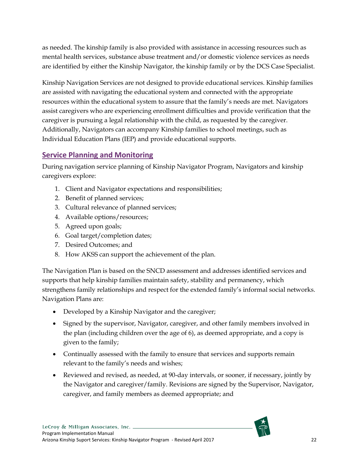as needed. The kinship family is also provided with assistance in accessing resources such as mental health services, substance abuse treatment and/or domestic violence services as needs are identified by either the Kinship Navigator, the kinship family or by the DCS Case Specialist.

Kinship Navigation Services are not designed to provide educational services. Kinship families are assisted with navigating the educational system and connected with the appropriate resources within the educational system to assure that the family's needs are met. Navigators assist caregivers who are experiencing enrollment difficulties and provide verification that the caregiver is pursuing a legal relationship with the child, as requested by the caregiver. Additionally, Navigators can accompany Kinship families to school meetings, such as Individual Education Plans (IEP) and provide educational supports.

#### <span id="page-27-0"></span>**Service Planning and Monitoring**

During navigation service planning of Kinship Navigator Program, Navigators and kinship caregivers explore:

- 1. Client and Navigator expectations and responsibilities;
- 2. Benefit of planned services;
- 3. Cultural relevance of planned services;
- 4. Available options/resources;
- 5. Agreed upon goals;
- 6. Goal target/completion dates;
- 7. Desired Outcomes; and
- 8. How AKSS can support the achievement of the plan.

The Navigation Plan is based on the SNCD assessment and addresses identified services and supports that help kinship families maintain safety, stability and permanency, which strengthens family relationships and respect for the extended family's informal social networks. Navigation Plans are:

- Developed by a Kinship Navigator and the caregiver;
- Signed by the supervisor, Navigator, caregiver, and other family members involved in the plan (including children over the age of 6), as deemed appropriate, and a copy is given to the family;
- Continually assessed with the family to ensure that services and supports remain relevant to the family's needs and wishes;
- Reviewed and revised, as needed, at 90-day intervals, or sooner, if necessary, jointly by the Navigator and caregiver/family. Revisions are signed by the Supervisor, Navigator, caregiver, and family members as deemed appropriate; and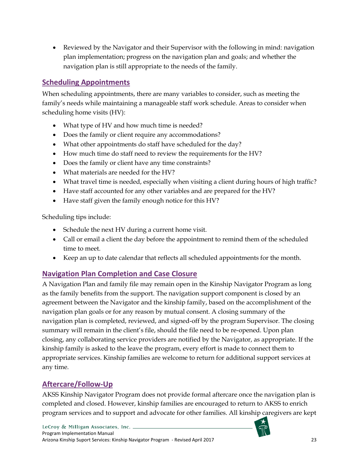• Reviewed by the Navigator and their Supervisor with the following in mind: navigation plan implementation; progress on the navigation plan and goals; and whether the navigation plan is still appropriate to the needs of the family.

## <span id="page-28-0"></span>**Scheduling Appointments**

When scheduling appointments, there are many variables to consider, such as meeting the family's needs while maintaining a manageable staff work schedule. Areas to consider when scheduling home visits (HV):

- What type of HV and how much time is needed?
- Does the family or client require any accommodations?
- What other appointments do staff have scheduled for the day?
- How much time do staff need to review the requirements for the HV?
- Does the family or client have any time constraints?
- What materials are needed for the HV?
- What travel time is needed, especially when visiting a client during hours of high traffic?
- Have staff accounted for any other variables and are prepared for the HV?
- Have staff given the family enough notice for this HV?

Scheduling tips include:

- Schedule the next HV during a current home visit.
- Call or email a client the day before the appointment to remind them of the scheduled time to meet.
- Keep an up to date calendar that reflects all scheduled appointments for the month.

## <span id="page-28-1"></span>**Navigation Plan Completion and Case Closure**

A Navigation Plan and family file may remain open in the Kinship Navigator Program as long as the family benefits from the support. The navigation support component is closed by an agreement between the Navigator and the kinship family, based on the accomplishment of the navigation plan goals or for any reason by mutual consent. A closing summary of the navigation plan is completed, reviewed, and signed-off by the program Supervisor. The closing summary will remain in the client's file, should the file need to be re-opened. Upon plan closing, any collaborating service providers are notified by the Navigator, as appropriate. If the kinship family is asked to the leave the program, every effort is made to connect them to appropriate services. Kinship families are welcome to return for additional support services at any time.

## <span id="page-28-2"></span>**Aftercare/Follow-Up**

AKSS Kinship Navigator Program does not provide formal aftercare once the navigation plan is completed and closed. However, kinship families are encouraged to return to AKSS to enrich program services and to support and advocate for other families. All kinship caregivers are kept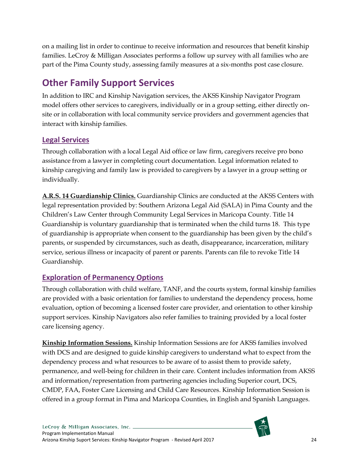on a mailing list in order to continue to receive information and resources that benefit kinship families. LeCroy & Milligan Associates performs a follow up survey with all families who are part of the Pima County study, assessing family measures at a six-months post case closure.

## <span id="page-29-0"></span>**Other Family Support Services**

In addition to IRC and Kinship Navigation services, the AKSS Kinship Navigator Program model offers other services to caregivers, individually or in a group setting, either directly onsite or in collaboration with local community service providers and government agencies that interact with kinship families.

## <span id="page-29-1"></span>**Legal Services**

Through collaboration with a local Legal Aid office or law firm, caregivers receive pro bono assistance from a lawyer in completing court documentation. Legal information related to kinship caregiving and family law is provided to caregivers by a lawyer in a group setting or individually.

**A.R.S. 14 Guardianship Clinics.** Guardianship Clinics are conducted at the AKSS Centers with legal representation provided by: Southern Arizona Legal Aid (SALA) in Pima County and the Children's Law Center through Community Legal Services in Maricopa County. Title 14 Guardianship is voluntary guardianship that is terminated when the child turns 18. This type of guardianship is appropriate when consent to the guardianship has been given by the child's parents, or suspended by circumstances, such as death, disappearance, incarceration, military service, serious illness or incapacity of parent or parents. Parents can file to revoke Title 14 Guardianship.

## <span id="page-29-2"></span>**Exploration of Permanency Options**

Through collaboration with child welfare, TANF, and the courts system, formal kinship families are provided with a basic orientation for families to understand the dependency process, home evaluation, option of becoming a licensed foster care provider, and orientation to other kinship support services. Kinship Navigators also refer families to training provided by a local foster care licensing agency.

**Kinship Information Sessions.** Kinship Information Sessions are for AKSS families involved with DCS and are designed to guide kinship caregivers to understand what to expect from the dependency process and what resources to be aware of to assist them to provide safety, permanence, and well-being for children in their care. Content includes information from AKSS and information/representation from partnering agencies including Superior court, DCS, CMDP, FAA, Foster Care Licensing and Child Care Resources. Kinship Information Session is offered in a group format in Pima and Maricopa Counties, in English and Spanish Languages.

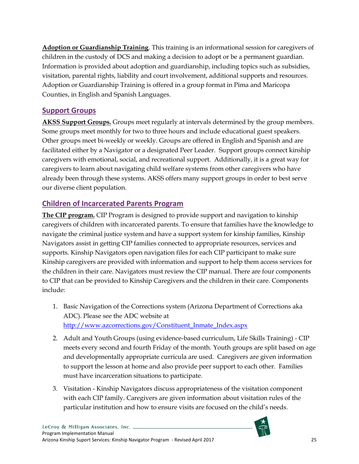**Adoption or Guardianship Training**. This training is an informational session for caregivers of children in the custody of DCS and making a decision to adopt or be a permanent guardian. Information is provided about adoption and guardianship, including topics such as subsidies, visitation, parental rights, liability and court involvement, additional supports and resources. Adoption or Guardianship Training is offered in a group format in Pima and Maricopa Counties, in English and Spanish Languages.

## <span id="page-30-0"></span>**Support Groups**

**AKSS Support Groups.** Groups meet regularly at intervals determined by the group members. Some groups meet monthly for two to three hours and include educational guest speakers. Other groups meet bi-weekly or weekly. Groups are offered in English and Spanish and are facilitated either by a Navigator or a designated Peer Leader. Support groups connect kinship caregivers with emotional, social, and recreational support. Additionally, it is a great way for caregivers to learn about navigating child welfare systems from other caregivers who have already been through these systems. AKSS offers many support groups in order to best serve our diverse client population.

## <span id="page-30-1"></span>**Children of Incarcerated Parents Program**

**The CIP program.** CIP Program is designed to provide support and navigation to kinship caregivers of children with incarcerated parents. To ensure that families have the knowledge to navigate the criminal justice system and have a support system for kinship families, Kinship Navigators assist in getting CIP families connected to appropriate resources, services and supports. Kinship Navigators open navigation files for each CIP participant to make sure Kinship caregivers are provided with information and support to help them access services for the children in their care. Navigators must review the CIP manual. There are four components to CIP that can be provided to Kinship Caregivers and the children in their care. Components include:

- 1. Basic Navigation of the Corrections system (Arizona Department of Corrections aka ADC). Please see the ADC website at [http://www.azcorrections.gov/Constituent\\_Inmate\\_Index.aspx](http://www.azcorrections.gov/Constituent_Inmate_Index.aspx)
- 2. Adult and Youth Groups (using evidence-based curriculum, Life Skills Training) CIP meets every second and fourth Friday of the month. Youth groups are split based on age and developmentally appropriate curricula are used. Caregivers are given information to support the lesson at home and also provide peer support to each other. Families must have incarceration situations to participate.
- 3. Visitation Kinship Navigators discuss appropriateness of the visitation component with each CIP family. Caregivers are given information about visitation rules of the particular institution and how to ensure visits are focused on the child's needs.

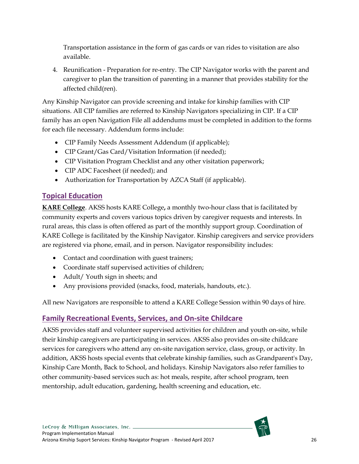Transportation assistance in the form of gas cards or van rides to visitation are also available.

4. Reunification - Preparation for re-entry. The CIP Navigator works with the parent and caregiver to plan the transition of parenting in a manner that provides stability for the affected child(ren).

Any Kinship Navigator can provide screening and intake for kinship families with CIP situations. All CIP families are referred to Kinship Navigators specializing in CIP. If a CIP family has an open Navigation File all addendums must be completed in addition to the forms for each file necessary. Addendum forms include:

- CIP Family Needs Assessment Addendum (if applicable);
- CIP Grant/Gas Card/Visitation Information (if needed);
- CIP Visitation Program Checklist and any other visitation paperwork;
- CIP ADC Facesheet (if needed); and
- Authorization for Transportation by AZCA Staff (if applicable).

#### <span id="page-31-0"></span>**Topical Education**

**KARE College**. AKSS hosts KARE College**,** a monthly two-hour class that is facilitated by community experts and covers various topics driven by caregiver requests and interests. In rural areas, this class is often offered as part of the monthly support group. Coordination of KARE College is facilitated by the Kinship Navigator. Kinship caregivers and service providers are registered via phone, email, and in person. Navigator responsibility includes:

- Contact and coordination with guest trainers;
- Coordinate staff supervised activities of children;
- Adult/ Youth sign in sheets; and
- Any provisions provided (snacks, food, materials, handouts, etc.).

All new Navigators are responsible to attend a KARE College Session within 90 days of hire.

#### <span id="page-31-1"></span>**Family Recreational Events, Services, and On-site Childcare**

AKSS provides staff and volunteer supervised activities for children and youth on-site, while their kinship caregivers are participating in services. AKSS also provides on-site childcare services for caregivers who attend any on-site navigation service, class, group, or activity. In addition, AKSS hosts special events that celebrate kinship families, such as Grandparent's Day, Kinship Care Month, Back to School, and holidays. Kinship Navigators also refer families to other community-based services such as: hot meals, respite, after school program, teen mentorship, adult education, gardening, health screening and education, etc.

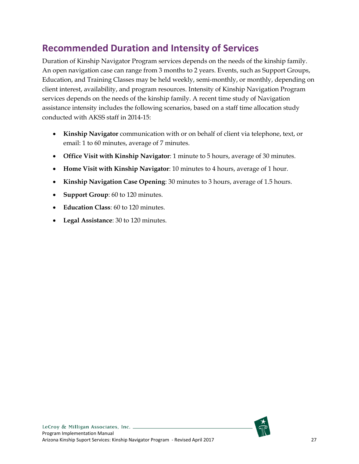## <span id="page-32-0"></span>**Recommended Duration and Intensity of Services**

Duration of Kinship Navigator Program services depends on the needs of the kinship family. An open navigation case can range from 3 months to 2 years. Events, such as Support Groups, Education, and Training Classes may be held weekly, semi-monthly, or monthly, depending on client interest, availability, and program resources. Intensity of Kinship Navigation Program services depends on the needs of the kinship family. A recent time study of Navigation assistance intensity includes the following scenarios, based on a staff time allocation study conducted with AKSS staff in 2014-15:

- **Kinship Navigator** communication with or on behalf of client via telephone, text, or email: 1 to 60 minutes, average of 7 minutes.
- **Office Visit with Kinship Navigator**: 1 minute to 5 hours, average of 30 minutes.
- **Home Visit with Kinship Navigator**: 10 minutes to 4 hours, average of 1 hour.
- **Kinship Navigation Case Opening**: 30 minutes to 3 hours, average of 1.5 hours.
- **Support Group**: 60 to 120 minutes.
- **Education Class**: 60 to 120 minutes.
- **Legal Assistance**: 30 to 120 minutes.

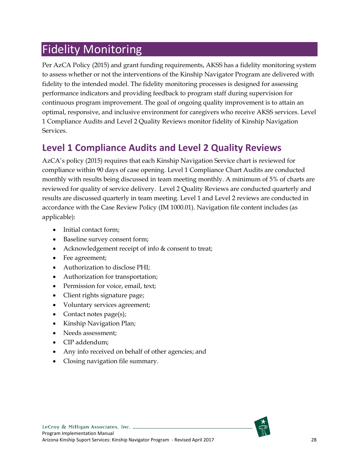# <span id="page-33-0"></span>Fidelity Monitoring

Per AzCA Policy (2015) and grant funding requirements, AKSS has a fidelity monitoring system to assess whether or not the interventions of the Kinship Navigator Program are delivered with fidelity to the intended model. The fidelity monitoring processes is designed for assessing performance indicators and providing feedback to program staff during supervision for continuous program improvement. The goal of ongoing quality improvement is to attain an optimal, responsive, and inclusive environment for caregivers who receive AKSS services. Level 1 Compliance Audits and Level 2 Quality Reviews monitor fidelity of Kinship Navigation **Services** 

## <span id="page-33-1"></span>**Level 1 Compliance Audits and Level 2 Quality Reviews**

AzCA's policy (2015) requires that each Kinship Navigation Service chart is reviewed for compliance within 90 days of case opening. Level 1 Compliance Chart Audits are conducted monthly with results being discussed in team meeting monthly. A minimum of 5% of charts are reviewed for quality of service delivery. Level 2 Quality Reviews are conducted quarterly and results are discussed quarterly in team meeting. Level 1 and Level 2 reviews are conducted in accordance with the Case Review Policy (IM 1000.01). Navigation file content includes (as applicable):

- Initial contact form;
- Baseline survey consent form;
- Acknowledgement receipt of info & consent to treat;
- Fee agreement;
- Authorization to disclose PHI;
- Authorization for transportation;
- Permission for voice, email, text;
- Client rights signature page;
- Voluntary services agreement;
- Contact notes page(s);
- Kinship Navigation Plan;
- Needs assessment:
- CIP addendum;
- Any info received on behalf of other agencies; and
- Closing navigation file summary.

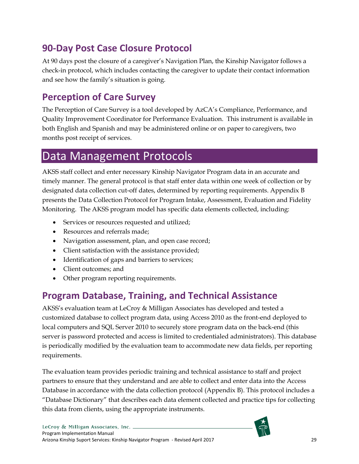## <span id="page-34-0"></span>**90-Day Post Case Closure Protocol**

At 90 days post the closure of a caregiver's Navigation Plan, the Kinship Navigator follows a check-in protocol, which includes contacting the caregiver to update their contact information and see how the family's situation is going.

## <span id="page-34-1"></span>**Perception of Care Survey**

The Perception of Care Survey is a tool developed by AzCA's Compliance, Performance, and Quality Improvement Coordinator for Performance Evaluation. This instrument is available in both English and Spanish and may be administered online or on paper to caregivers, two months post receipt of services.

## <span id="page-34-2"></span>Data Management Protocols

AKSS staff collect and enter necessary Kinship Navigator Program data in an accurate and timely manner. The general protocol is that staff enter data within one week of collection or by designated data collection cut-off dates, determined by reporting requirements. Appendix B presents the Data Collection Protocol for Program Intake, Assessment, Evaluation and Fidelity Monitoring. The AKSS program model has specific data elements collected, including:

- Services or resources requested and utilized;
- Resources and referrals made;
- Navigation assessment, plan, and open case record;
- Client satisfaction with the assistance provided;
- Identification of gaps and barriers to services;
- Client outcomes; and
- Other program reporting requirements.

## <span id="page-34-3"></span>**Program Database, Training, and Technical Assistance**

AKSS's evaluation team at LeCroy & Milligan Associates has developed and tested a customized database to collect program data, using Access 2010 as the front-end deployed to local computers and SQL Server 2010 to securely store program data on the back-end (this server is password protected and access is limited to credentialed administrators). This database is periodically modified by the evaluation team to accommodate new data fields, per reporting requirements.

The evaluation team provides periodic training and technical assistance to staff and project partners to ensure that they understand and are able to collect and enter data into the Access Database in accordance with the data collection protocol (Appendix B). This protocol includes a "Database Dictionary" that describes each data element collected and practice tips for collecting this data from clients, using the appropriate instruments.

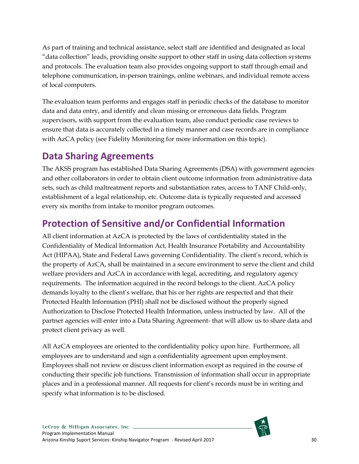As part of training and technical assistance, select staff are identified and designated as local "data collection" leads, providing onsite support to other staff in using data collection systems and protocols. The evaluation team also provides ongoing support to staff through email and telephone communication, in-person trainings, online webinars, and individual remote access of local computers.

The evaluation team performs and engages staff in periodic checks of the database to monitor data and data entry, and identify and clean missing or erroneous data fields. Program supervisors, with support from the evaluation team, also conduct periodic case reviews to ensure that data is accurately collected in a timely manner and case records are in compliance with AzCA policy (see Fidelity Monitoring for more information on this topic).

## <span id="page-35-0"></span>**Data Sharing Agreements**

The AKSS program has established Data Sharing Agreements (DSA) with government agencies and other collaborators in order to obtain client outcome information from administrative data sets, such as child maltreatment reports and substantiation rates, access to TANF Child-only, establishment of a legal relationship, etc. Outcome data is typically requested and accessed every six months from intake to monitor program outcomes.

## <span id="page-35-1"></span>**Protection of Sensitive and/or Confidential Information**

All client information at AzCA is protected by the laws of confidentiality stated in the Confidentiality of Medical Information Act, Health Insurance Portability and Accountability Act (HIPAA), State and Federal Laws governing Confidentiality. The client's record, which is the property of AzCA, shall be maintained in a secure environment to serve the client and child welfare providers and AzCA in accordance with legal, accrediting, and regulatory agency requirements. The information acquired in the record belongs to the client. AzCA policy demands loyalty to the client's welfare, that his or her rights are respected and that their Protected Health Information (PHI) shall not be disclosed without the properly signed Authorization to Disclose Protected Health Information, unless instructed by law. All of the partner agencies will enter into a Data Sharing Agreement- that will allow us to share data and protect client privacy as well.

All AzCA employees are oriented to the confidentiality policy upon hire. Furthermore, all employees are to understand and sign a confidentiality agreement upon employment. Employees shall not review or discuss client information except as required in the course of conducting their specific job functions. Transmission of information shall occur in appropriate places and in a professional manner. All requests for client's records must be in writing and specify what information is to be disclosed.

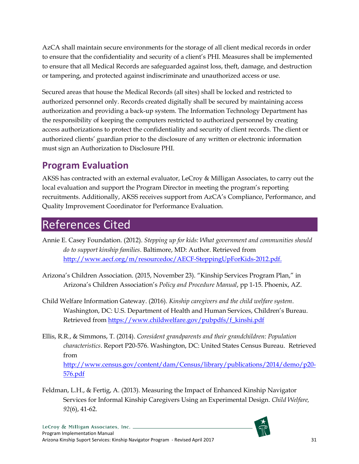AzCA shall maintain secure environments for the storage of all client medical records in order to ensure that the confidentiality and security of a client's PHI. Measures shall be implemented to ensure that all Medical Records are safeguarded against loss, theft, damage, and destruction or tampering, and protected against indiscriminate and unauthorized access or use.

Secured areas that house the Medical Records (all sites) shall be locked and restricted to authorized personnel only. Records created digitally shall be secured by maintaining access authorization and providing a back-up system. The Information Technology Department has the responsibility of keeping the computers restricted to authorized personnel by creating access authorizations to protect the confidentiality and security of client records. The client or authorized clients' guardian prior to the disclosure of any written or electronic information must sign an Authorization to Disclosure PHI.

## <span id="page-36-0"></span>**Program Evaluation**

AKSS has contracted with an external evaluator, LeCroy & Milligan Associates, to carry out the local evaluation and support the Program Director in meeting the program's reporting recruitments. Additionally, AKSS receives support from AzCA's Compliance, Performance, and Quality Improvement Coordinator for Performance Evaluation.

## <span id="page-36-1"></span>References Cited

- Annie E. Casey Foundation. (2012). *Stepping up for kids: What government and communities should do to support kinship families*. Baltimore, MD: Author. Retrieved from [http://www.aecf.org/m/resourcedoc/AECF-SteppingUpForKids-2012.pdf.](http://www.aecf.org/m/resourcedoc/AECF-SteppingUpForKids-2012.pdf)
- Arizona's Children Association. (2015, November 23). "Kinship Services Program Plan," in Arizona's Children Association's *Policy and Procedure Manual*, pp 1-15. Phoenix, AZ.
- Child Welfare Information Gateway. (2016). *Kinship caregivers and the child welfare system*. Washington, DC: U.S. Department of Health and Human Services, Children's Bureau. Retrieved from [https://www.childwelfare.gov/pubpdfs/f\\_kinshi.pdf](https://www.childwelfare.gov/pubpdfs/f_kinshi.pdf)
- Ellis, R.R., & Simmons, T. (2014). *Coresident grandparents and their grandchildren: Population characteristics*. Report P20-576. Washington, DC: United States Census Bureau. Retrieved from [http://www.census.gov/content/dam/Census/library/publications/2014/demo/p20-](http://www.census.gov/content/dam/Census/library/publications/2014/demo/p20-576.pdf) [576.pdf](http://www.census.gov/content/dam/Census/library/publications/2014/demo/p20-576.pdf)
- Feldman, L.H., & Fertig, A. (2013). Measuring the Impact of Enhanced Kinship Navigator Services for Informal Kinship Caregivers Using an Experimental Design. *Child Welfare, 92*(6), 41-62.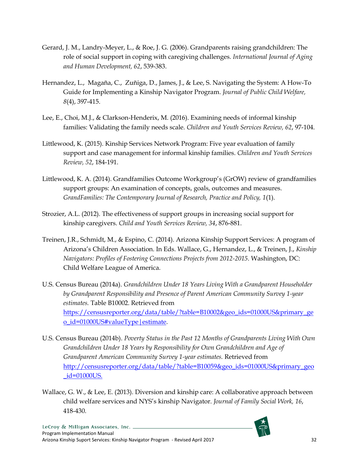- Gerard, J. M., Landry-Meyer, L., & Roe, J. G. (2006). Grandparents raising grandchildren: The role of social support in coping with caregiving challenges. *International Journal of Aging and Human Development, 62*, 539-383.
- Hernandez, L., Magaña, C., Zuñiga, D., James, J., & Lee, S. [Navigating the System: A How-To](http://www.tandfonline.com/doi/abs/10.1080/15548732.2014.939248)  [Guide for Implementing a Kinship Navigator Program.](http://www.tandfonline.com/doi/abs/10.1080/15548732.2014.939248) *Journal of Public Child Welfare, 8*(4), 397-415.
- Lee, E., Choi, M.J., & Clarkson-Henderix, M. (2016). Examining needs of informal kinship families: Validating the family needs scale. *Children and Youth Services Review, 62*, 97-104.
- Littlewood, K. (2015). Kinship Services Network Program: Five year evaluation of family support and case management for informal kinship families. *Children and Youth Services Review, 52*, 184-191.
- Littlewood, K. A. (2014). Grandfamilies Outcome Workgroup's (GrOW) review of grandfamilies support groups: An examination of concepts, goals, outcomes and measures. *GrandFamilies: The Contemporary Journal of Research, Practice and Policy, 1*(1).
- Strozier, A.L. (2012). The effectiveness of support groups in increasing social support for kinship caregivers. *Child and Youth Services Review, 34*, 876-881.
- Treinen, J.R., Schmidt, M., & Espino, C. (2014). Arizona Kinship Support Services: A program of Arizona's Children Association. In Eds. Wallace, G., Hernandez, L., & Treinen, J., *Kinship Navigators: Profiles of Fostering Connections Projects from 2012-2015*. Washington, DC: Child Welfare League of America.
- U.S. Census Bureau (2014a). *Grandchildren Under 18 Years Living With a Grandparent Householder by Grandparent Responsibility and Presence of Parent American Community Survey 1-year estimates.* Table B10002. Retrieved from [https://censusreporter.org/data/table/?table=B10002&geo\\_ids=01000US&primary\\_ge](https://censusreporter.org/data/table/?table=B10002&geo_ids=01000US&primary_geo_id=01000US#valueType|estimate) [o\\_id=01000US#valueType|estimate.](https://censusreporter.org/data/table/?table=B10002&geo_ids=01000US&primary_geo_id=01000US#valueType|estimate)
- U.S. Census Bureau (2014b). *Poverty Status in the Past 12 Months of Grandparents Living With Own Grandchildren Under 18 Years by Responsibility for Own Grandchildren and Age of Grandparent American Community Survey 1-year estimates.* Retrieved from [http://censusreporter.org/data/table/?table=B10059&geo\\_ids=01000US&primary\\_geo](http://censusreporter.org/data/table/?table=B10059&geo_ids=01000US&primary_geo_id=01000US) [\\_id=01000US.](http://censusreporter.org/data/table/?table=B10059&geo_ids=01000US&primary_geo_id=01000US)
- Wallace, G. W., & Lee, E. (2013). Diversion and kinship care: A collaborative approach between child welfare services and NYS's kinship Navigator. *Journal of Family Social Work, 16*, 418-430.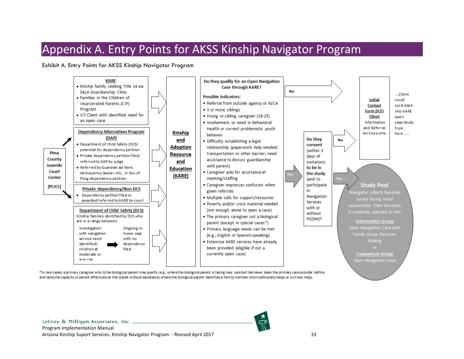## Appendix A. Entry Points for AKSS Kinship Navigator Program

Exhibit A. Entry Points for AKSS Kinship Navigator Program

<span id="page-38-1"></span><span id="page-38-0"></span>

\*In rare cases, a primary caregiver who is the biological parent may qualify (e.g., where the biological parent is taking over care but has never been the primary care provider before and lacks the capacity to parent effectively at the outset without assistance; where the biological parent identifies a family member who traditionally helps or will now help).

LeCroy & Milligan Associates, Inc. \_ Program Implementation Manual Arizona Kinship Suport Services: Kinship Navigator Program - Revised April 2017 33

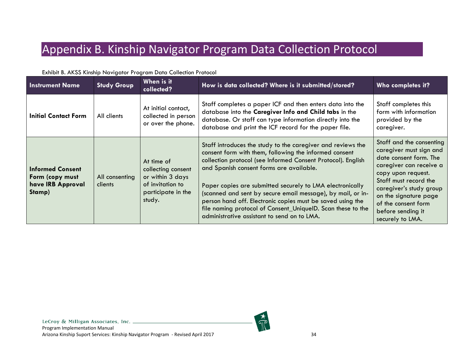# Appendix B. Kinship Navigator Program Data Collection Protocol

<span id="page-39-1"></span><span id="page-39-0"></span>

| <b>Instrument Name</b>                                                    | <b>Study Group</b>        | When is it<br>collected?                                                                                 | How is data collected? Where is it submitted/stored?                                                                                                                                                                                                                                                                                                                                                                                                                                                                                      | Who completes it?                                                                                                                                                                                                                                                           |
|---------------------------------------------------------------------------|---------------------------|----------------------------------------------------------------------------------------------------------|-------------------------------------------------------------------------------------------------------------------------------------------------------------------------------------------------------------------------------------------------------------------------------------------------------------------------------------------------------------------------------------------------------------------------------------------------------------------------------------------------------------------------------------------|-----------------------------------------------------------------------------------------------------------------------------------------------------------------------------------------------------------------------------------------------------------------------------|
| <b>Initial Contact Form</b>                                               | All clients               | At initial contact,<br>collected in person<br>or over the phone.                                         | Staff completes a paper ICF and then enters data into the<br>database into the Caregiver Info and Child tabs in the<br>database. Or staff can type information directly into the<br>database and print the ICF record for the paper file.                                                                                                                                                                                                                                                                                                 | Staff completes this<br>form with information<br>provided by the<br>caregiver.                                                                                                                                                                                              |
| <b>Informed Consent</b><br>Form (copy must<br>have IRB Approval<br>Stamp) | All consenting<br>clients | At time of<br>collecting consent<br>or within 3 days<br>of invitation to<br>participate in the<br>study. | Staff introduces the study to the caregiver and reviews the<br>consent form with them, following the informed consent<br>collection protocol (see Informed Consent Protocol). English<br>and Spanish consent forms are available.<br>Paper copies are submitted securely to LMA electronically<br>(scanned and sent by secure email message), by mail, or in-<br>person hand off. Electronic copies must be saved using the<br>file naming protocol of Consent_UniqueID. Scan these to the<br>administrative assistant to send on to LMA. | Staff and the consenting<br>caregiver must sign and<br>date consent form. The<br>caregiver can receive a<br>copy upon request.<br>Staff must record the<br>caregiver's study group<br>on the signature page<br>of the consent form<br>before sending it<br>securely to LMA. |

#### Exhibit B. AKSS Kinship Navigator Program Data Collection Protocol



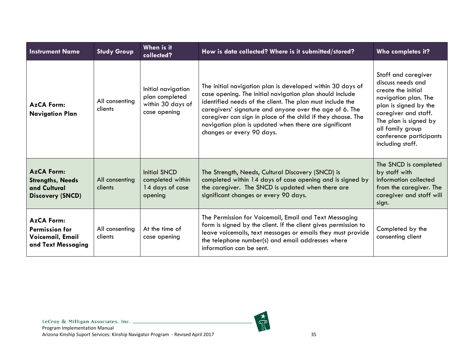| <b>Instrument Name</b>                                                                                                                              | <b>Study Group</b>        | When is it<br>collected?                                                                                                                                                                                                                                                  | How is data collected? Where is it submitted/stored?                                                                                                                                                                                                                                                                                                                                                 | Who completes it?                                                                                                                                                                                                                   |
|-----------------------------------------------------------------------------------------------------------------------------------------------------|---------------------------|---------------------------------------------------------------------------------------------------------------------------------------------------------------------------------------------------------------------------------------------------------------------------|------------------------------------------------------------------------------------------------------------------------------------------------------------------------------------------------------------------------------------------------------------------------------------------------------------------------------------------------------------------------------------------------------|-------------------------------------------------------------------------------------------------------------------------------------------------------------------------------------------------------------------------------------|
| <b>AzCA Form:</b><br><b>Navigation Plan</b>                                                                                                         | All consenting<br>clients | Initial navigation<br>plan completed<br>within 30 days of<br>case opening                                                                                                                                                                                                 | The initial navigation plan is developed within 30 days of<br>case opening. The initial navigation plan should include<br>identified needs of the client. The plan must include the<br>caregivers' signature and anyone over the age of 6. The<br>caregiver can sign in place of the child if they choose. The<br>navigation plan is updated when there are significant<br>changes or every 90 days. | Staff and caregiver<br>discuss needs and<br>create the initial<br>navigation plan. The<br>plan is signed by the<br>caregiver and staff.<br>The plan is signed by<br>all family group<br>conference participants<br>including staff. |
| <b>AzCA Form:</b><br><b>Strengths, Needs</b><br>and Cultural<br><b>Discovery (SNCD)</b>                                                             | All consenting<br>clients | Initial SNCD<br>completed within<br>14 days of case<br>opening                                                                                                                                                                                                            | The Strength, Needs, Cultural Discovery (SNCD) is<br>completed within 14 days of case opening and is signed by<br>the caregiver. The SNCD is updated when there are<br>significant changes or every 90 days.                                                                                                                                                                                         | The SNCD is completed<br>by staff with<br>information collected<br>from the caregiver. The<br>caregiver and staff will<br>sign.                                                                                                     |
| <b>AzCA Form:</b><br>All consenting<br>At the time of<br><b>Permission for</b><br>Voicemail, Email<br>clients<br>case opening<br>and Text Messaging |                           | The Permission for Voicemail, Email and Text Messaging<br>form is signed by the client. If the client gives permission to<br>leave voicemails, text messages or emails they must provide<br>the telephone number(s) and email addresses where<br>information can be sent. | Completed by the<br>consenting client                                                                                                                                                                                                                                                                                                                                                                |                                                                                                                                                                                                                                     |

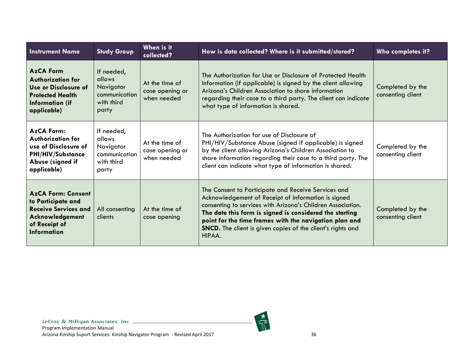| <b>Instrument Name</b>                                                                                                                                                                                                                                                                                                                                                                                                                                                                                                                                                                    | <b>Study Group</b>                                                        | When is it<br>collected?                         | How is data collected? Where is it submitted/stored?                                                                                                                                                                                                                                          | Who completes it?                     |
|-------------------------------------------------------------------------------------------------------------------------------------------------------------------------------------------------------------------------------------------------------------------------------------------------------------------------------------------------------------------------------------------------------------------------------------------------------------------------------------------------------------------------------------------------------------------------------------------|---------------------------------------------------------------------------|--------------------------------------------------|-----------------------------------------------------------------------------------------------------------------------------------------------------------------------------------------------------------------------------------------------------------------------------------------------|---------------------------------------|
| <b>AzCA Form</b><br><b>Authorization for</b><br><b>Use or Disclosure of</b><br><b>Protected Health</b><br><b>Information (if</b><br>applicable)                                                                                                                                                                                                                                                                                                                                                                                                                                           | If needed,<br>allows<br>Navigator<br>communication<br>with third<br>party | At the time of<br>case opening or<br>when needed | The Authorization for Use or Disclosure of Protected Health<br>Information (if applicable) is signed by the client allowing<br>Arizona's Children Association to share information<br>regarding their case to a third party. The client can indicate<br>what type of information is shared.   | Completed by the<br>consenting client |
| <b>AzCA Form:</b><br>Authorization for<br>use of Disclosure of<br><b>PHI/HIV/Substance</b><br>Abuse (signed if<br>applicable)                                                                                                                                                                                                                                                                                                                                                                                                                                                             | If needed,<br>allows<br>Navigator<br>communication<br>with third<br>party | At the time of<br>case opening or<br>when needed | The Authorization for use of Disclosure of<br>PHI/HIV/Substance Abuse (signed if applicable) is signed<br>by the client allowing Arizona's Children Association to<br>share information regarding their case to a third party. The<br>client can indicate what type of information is shared. | Completed by the<br>consenting client |
| The Consent to Participate and Receive Services and<br><b>AzCA Form: Consent</b><br>Acknowledgement of Receipt of Information is signed<br>to Participate and<br>consenting to services with Arizona's Children Association.<br><b>Receive Services and</b><br>All consenting<br>At the time of<br>The date this form is signed is considered the starting<br>Acknowledgement<br>clients<br>case opening<br>point for the time frames with the navigation plan and<br>of Receipt of<br><b>SNCD.</b> The client is given copies of the client's rights and<br><b>Information</b><br>HIPAA. |                                                                           | Completed by the<br>consenting client            |                                                                                                                                                                                                                                                                                               |                                       |

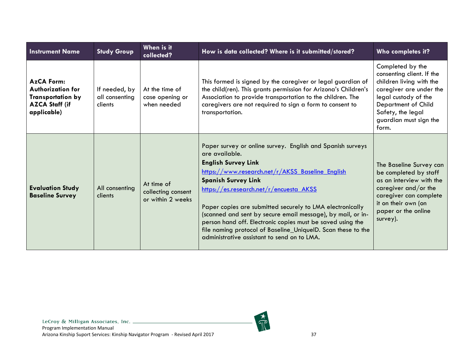| <b>Instrument Name</b>                                                                                            | <b>Study Group</b>                                                                 | When is it<br>collected?                         | How is data collected? Where is it submitted/stored?                                                                                                                                                                                                                                                                                                                                                                                                                                                                                             | Who completes it?                                                                                                                                                                                           |
|-------------------------------------------------------------------------------------------------------------------|------------------------------------------------------------------------------------|--------------------------------------------------|--------------------------------------------------------------------------------------------------------------------------------------------------------------------------------------------------------------------------------------------------------------------------------------------------------------------------------------------------------------------------------------------------------------------------------------------------------------------------------------------------------------------------------------------------|-------------------------------------------------------------------------------------------------------------------------------------------------------------------------------------------------------------|
| <b>AzCA Form:</b><br><b>Authorization for</b><br><b>Transportation by</b><br><b>AZCA Staff (if</b><br>applicable) | If needed, by<br>all consenting<br>clients                                         | At the time of<br>case opening or<br>when needed | This formed is signed by the caregiver or legal guardian of<br>the child(ren). This grants permission for Arizona's Children's<br>Association to provide transportation to the children. The<br>caregivers are not required to sign a form to consent to<br>transportation.                                                                                                                                                                                                                                                                      | Completed by the<br>consenting client. If the<br>children living with the<br>caregiver are under the<br>legal custody of the<br>Department of Child<br>Safety, the legal<br>guardian must sign the<br>form. |
| <b>Evaluation Study</b><br><b>Baseline Survey</b>                                                                 | At time of<br>All consenting<br>collecting consent<br>clients<br>or within 2 weeks |                                                  | Paper survey or online survey. English and Spanish surveys<br>are available.<br><b>English Survey Link</b><br>https://www.research.net/r/AKSS Baseline English<br><b>Spanish Survey Link</b><br>https://es.research.net/r/encuesta AKSS<br>Paper copies are submitted securely to LMA electronically<br>(scanned and sent by secure email message), by mail, or in-<br>person hand off. Electronic copies must be saved using the<br>file naming protocol of Baseline_UniqueID. Scan these to the<br>administrative assistant to send on to LMA. | The Baseline Survey can<br>be completed by staff<br>as an interview with the<br>caregiver and/or the<br>caregiver can complete<br>it on their own (on<br>paper or the online<br>survey).                    |

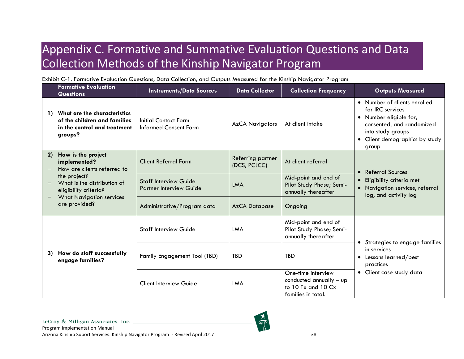# Appendix C. Formative and Summative Evaluation Questions and Data Collection Methods of the Kinship Navigator Program

Exhibit C-1. Formative Evaluation Questions, Data Collection, and Outputs Measured for the Kinship Navigator Program

<span id="page-43-1"></span><span id="page-43-0"></span>

|                | <b>Formative Evaluation</b><br><b>Questions</b>                                                                                                                                                                           | <b>Instruments/Data Sources</b>                                | <b>Data Collector</b>             | <b>Collection Frequency</b>                                                               | <b>Outputs Measured</b>                                                                                                                                                 |
|----------------|---------------------------------------------------------------------------------------------------------------------------------------------------------------------------------------------------------------------------|----------------------------------------------------------------|-----------------------------------|-------------------------------------------------------------------------------------------|-------------------------------------------------------------------------------------------------------------------------------------------------------------------------|
| $\overline{1}$ | What are the characteristics<br>of the children and families<br>in the control and treatment<br>groups?                                                                                                                   | <b>Initial Contact Form</b><br>Informed Consent Form           | <b>AzCA Navigators</b>            | At client intake                                                                          | • Number of clients enrolled<br>for IRC services<br>• Number eligible for,<br>consented, and randomized<br>into study groups<br>• Client demographics by study<br>group |
| 2)             | How is the project<br>implemented?<br>How are clients referred to<br>the project?<br>What is the distribution of<br>eligibility criteria?<br><b>What Navigation services</b><br>$\overline{\phantom{0}}$<br>are provided? | <b>Client Referral Form</b>                                    | Referring partner<br>(DCS, PCJCC) | At client referral                                                                        | • Referral Sources                                                                                                                                                      |
|                |                                                                                                                                                                                                                           | <b>Staff Interview Guide</b><br><b>Partner Interview Guide</b> | <b>LMA</b>                        | Mid-point and end of<br>Pilot Study Phase; Semi-<br>annually thereafter                   | Eligibility criteria met<br>• Navigation services, referral<br>log, and activity log                                                                                    |
|                |                                                                                                                                                                                                                           | Administrative/Program data                                    | <b>AzCA Database</b>              | Ongoing                                                                                   |                                                                                                                                                                         |
|                |                                                                                                                                                                                                                           | <b>Staff Interview Guide</b>                                   | LMA                               | Mid-point and end of<br>Pilot Study Phase; Semi-<br>annually thereafter                   | • Strategies to engage families                                                                                                                                         |
| 3)             | How do staff successfully<br>engage families?                                                                                                                                                                             | Family Engagement Tool (TBD)                                   | <b>TBD</b>                        | <b>TBD</b>                                                                                | in services<br>Lessons learned/best<br>practices                                                                                                                        |
|                |                                                                                                                                                                                                                           | <b>Client Interview Guide</b>                                  | LMA                               | One-time interview<br>conducted annually - up<br>to 10 Tx and 10 Cx<br>families in total. | • Client case study data                                                                                                                                                |

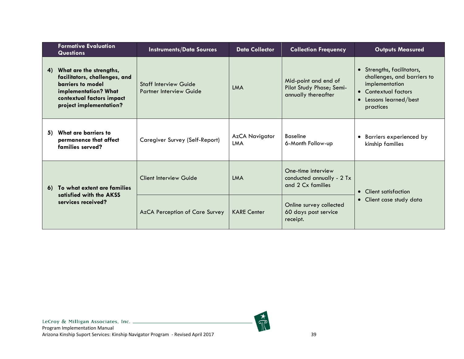|    | <b>Formative Evaluation</b><br><b>Questions</b>                                                                                                               | <b>Instruments/Data Sources</b>                                | <b>Data Collector</b> | <b>Collection Frequency</b>                                             | <b>Outputs Measured</b>                                                                                                                  |
|----|---------------------------------------------------------------------------------------------------------------------------------------------------------------|----------------------------------------------------------------|-----------------------|-------------------------------------------------------------------------|------------------------------------------------------------------------------------------------------------------------------------------|
| 4) | What are the strengths,<br>facilitators, challenges, and<br>barriers to model<br>implementation? What<br>contextual factors impact<br>project implementation? | <b>Staff Interview Guide</b><br><b>Partner Interview Guide</b> | LMA                   | Mid-point and end of<br>Pilot Study Phase; Semi-<br>annually thereafter | • Strengths, facilitators,<br>challenges, and barriers to<br>implementation<br>• Contextual factors<br>Lessons learned/best<br>practices |
| 5) | What are barriers to<br>permanence that affect<br>families served?                                                                                            | Caregiver Survey (Self-Report)                                 | AzCA Navigator<br>LMA | <b>Baseline</b><br>6-Month Follow-up                                    | Barriers experienced by<br>$\bullet$<br>kinship families                                                                                 |
|    | 6) To what extent are families<br>satisfied with the AKSS<br>services received?                                                                               | <b>Client Interview Guide</b>                                  | <b>LMA</b>            | One-time interview<br>conducted annually - 2 Tx<br>and 2 Cx families    | • Client satisfaction                                                                                                                    |
|    |                                                                                                                                                               | AzCA Perception of Care Survey                                 | <b>KARE Center</b>    | Online survey collected<br>60 days post service<br>receipt.             | • Client case study data                                                                                                                 |

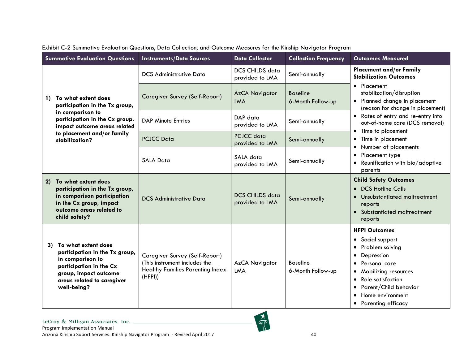<span id="page-45-0"></span>

| <b>Summative Evaluation Questions</b>                                                                                                                                            | <b>Instruments/Data Sources</b>                                                                                       | <b>Data Collector</b>                     | <b>Collection Frequency</b>          | <b>Outcomes Measured</b>                                                                                                                                                                                                                                                                                     |
|----------------------------------------------------------------------------------------------------------------------------------------------------------------------------------|-----------------------------------------------------------------------------------------------------------------------|-------------------------------------------|--------------------------------------|--------------------------------------------------------------------------------------------------------------------------------------------------------------------------------------------------------------------------------------------------------------------------------------------------------------|
|                                                                                                                                                                                  | <b>DCS Administrative Data</b>                                                                                        | <b>DCS CHILDS data</b><br>provided to LMA | Semi-annually                        | <b>Placement and/or Family</b><br><b>Stabilization Outcomes</b>                                                                                                                                                                                                                                              |
| To what extent does<br>$\mathbf{D}$<br>participation in the Tx group,                                                                                                            | <b>Caregiver Survey (Self-Report)</b>                                                                                 | <b>AzCA Navigator</b><br><b>LMA</b>       | <b>Baseline</b><br>6-Month Follow-up | • Placement<br>stabilization/disruption<br>• Planned change in placement<br>(reason for change in placement)                                                                                                                                                                                                 |
| in comparison to<br>participation in the Cx group,<br>impact outcome areas related                                                                                               | <b>DAP Minute Entries</b>                                                                                             | DAP data<br>provided to LMA               | Semi-annually                        | • Rates of entry and re-entry into<br>out-of-home care (DCS removal)<br>Time to placement<br>$\bullet$                                                                                                                                                                                                       |
| to placement and/or family<br>stabilization?                                                                                                                                     | <b>PCJCC Data</b>                                                                                                     | PCJCC data<br>provided to LMA             | Semi-annually                        | Time in placement<br>$\bullet$<br>Number of placements                                                                                                                                                                                                                                                       |
|                                                                                                                                                                                  | <b>SALA Data</b>                                                                                                      | SALA data<br>provided to LMA              | Semi-annually                        | Placement type<br>$\bullet$<br>Reunification with bio/adoptive<br>$\bullet$<br>parents                                                                                                                                                                                                                       |
| To what extent does<br>2)<br>participation in the Tx group,<br>in comparison participation<br>in the Cx group, impact<br>outcome areas related to<br>child safety?               | <b>DCS Administrative Data</b>                                                                                        | <b>DCS CHILDS data</b><br>provided to LMA | Semi-annually                        | <b>Child Safety Outcomes</b><br><b>DCS Hotline Calls</b><br>$\bullet$<br>Unsubstantiated maltreatment<br>reports<br>• Substantiated maltreatment<br>reports                                                                                                                                                  |
| To what extent does<br>3)<br>participation in the Tx group,<br>in comparison to<br>participation in the Cx<br>group, impact outcome<br>areas related to caregiver<br>well-being? | Caregiver Survey (Self-Report)<br>(This instrument includes the<br><b>Healthy Families Parenting Index</b><br>(HFPI)) | <b>AzCA Navigator</b><br><b>LMA</b>       | <b>Baseline</b><br>6-Month Follow-up | <b>HFPI Outcomes</b><br>Social support<br>$\bullet$<br>Problem solving<br>$\bullet$<br>Depression<br>$\bullet$<br>Personal care<br>Mobilizing resources<br>$\bullet$<br><b>Role satisfaction</b><br>$\bullet$<br>Parent/Child behavior<br>$\bullet$<br>Home environment<br>$\bullet$<br>• Parenting efficacy |

|  |  |  |  |  |  | Exhibit C-2 Summative Evaluation Questions, Data Collection, and Outcome Measures for the Kinship Navigator Program |  |
|--|--|--|--|--|--|---------------------------------------------------------------------------------------------------------------------|--|
|  |  |  |  |  |  |                                                                                                                     |  |

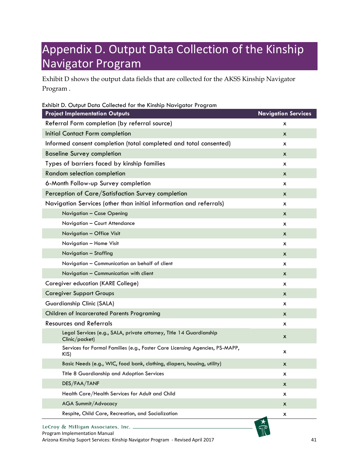# <span id="page-46-0"></span>Appendix D. Output Data Collection of the Kinship Navigator Program

Exhibit D shows the output data fields that are collected for the AKSS Kinship Navigator Program .

<span id="page-46-1"></span>

| Exhibit D. Output Data Collected for the Kinship Navigator Program                    |                            |
|---------------------------------------------------------------------------------------|----------------------------|
| <b>Project Implementation Outputs</b>                                                 | <b>Navigation Services</b> |
| Referral Form completion (by referral source)                                         | X                          |
| Initial Contact Form completion                                                       | X                          |
| Informed consent completion (total completed and total consented)                     | X                          |
| <b>Baseline Survey completion</b>                                                     | X                          |
| Types of barriers faced by kinship families                                           | X                          |
| Random selection completion                                                           | X                          |
| 6-Month Follow-up Survey completion                                                   | X                          |
| Perception of Care/Satisfaction Survey completion                                     | X                          |
| Navigation Services (other than initial information and referrals)                    | X                          |
| Navigation - Case Opening                                                             | X                          |
| Navigation - Court Attendance                                                         | X                          |
| Navigation - Office Visit                                                             | X                          |
| Navigation - Home Visit                                                               | X                          |
| Navigation - Staffing                                                                 | X                          |
| Navigation - Communication on behalf of client                                        | X                          |
| Navigation - Communication with client                                                | X                          |
| <b>Caregiver education (KARE College)</b>                                             | X                          |
| <b>Caregiver Support Groups</b>                                                       | X                          |
| Guardianship Clinic (SALA)                                                            | X                          |
| Children of Incarcerated Parents Programing                                           | X                          |
| <b>Resources and Referrals</b>                                                        | $\mathsf{x}$               |
| Legal Services (e.g., SALA, private attorney, Title 14 Guardianship<br>Clinic/packet) | X                          |
| Services for Formal Families (e.g., Foster Care Licensing Agencies, PS-MAPP,<br>KIS)  | X                          |
| Basic Needs (e.g., WIC, food bank, clothing, diapers, housing, utility)               | X                          |
| Title 8 Guardianship and Adoption Services                                            | X                          |
| DES/FAA/TANF                                                                          | X                          |
| Health Care/Health Services for Adult and Child                                       | X                          |
| <b>AGA Summit/Advocacy</b>                                                            | X                          |
| Respite, Child Care, Recreation, and Socialization                                    | Х                          |
| LeCroy & Milligan Associates, Inc.<br>Program Implementation Manual                   |                            |

Arizona Kinship Suport Services: Kinship Navigator Program - Revised April 2017 41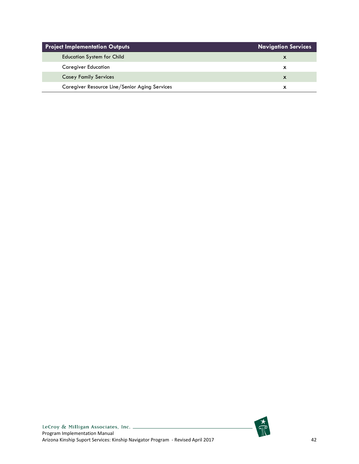| <b>Project Implementation Outputs</b>         | <b>Navigation Services</b> |
|-----------------------------------------------|----------------------------|
| <b>Education System for Child</b>             |                            |
| <b>Caregiver Education</b>                    |                            |
| <b>Casey Family Services</b>                  | X                          |
| Caregiver Resource Line/Senior Aging Services |                            |

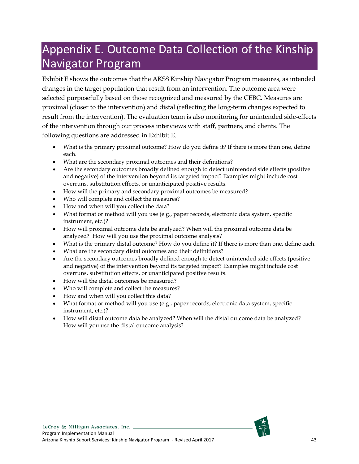# <span id="page-48-0"></span>Appendix E. Outcome Data Collection of the Kinship Navigator Program

Exhibit E shows the outcomes that the AKSS Kinship Navigator Program measures, as intended changes in the target population that result from an intervention. The outcome area were selected purposefully based on those recognized and measured by the CEBC. Measures are proximal (closer to the intervention) and distal (reflecting the long-term changes expected to result from the intervention). The evaluation team is also monitoring for unintended side-effects of the intervention through our process interviews with staff, partners, and clients. The following questions are addressed in Exhibit E.

- What is the primary proximal outcome? How do you define it? If there is more than one, define each.
- What are the secondary proximal outcomes and their definitions?
- Are the secondary outcomes broadly defined enough to detect unintended side effects (positive and negative) of the intervention beyond its targeted impact? Examples might include cost overruns, substitution effects, or unanticipated positive results.
- How will the primary and secondary proximal outcomes be measured?
- Who will complete and collect the measures?
- How and when will you collect the data?
- What format or method will you use (e.g., paper records, electronic data system, specific instrument, etc.)?
- How will proximal outcome data be analyzed? When will the proximal outcome data be analyzed? How will you use the proximal outcome analysis?
- What is the primary distal outcome? How do you define it? If there is more than one, define each.
- What are the secondary distal outcomes and their definitions?
- Are the secondary outcomes broadly defined enough to detect unintended side effects (positive and negative) of the intervention beyond its targeted impact? Examples might include cost overruns, substitution effects, or unanticipated positive results.
- How will the distal outcomes be measured?
- Who will complete and collect the measures?
- How and when will you collect this data?
- What format or method will you use (e.g., paper records, electronic data system, specific instrument, etc.)?
- How will distal outcome data be analyzed? When will the distal outcome data be analyzed? How will you use the distal outcome analysis?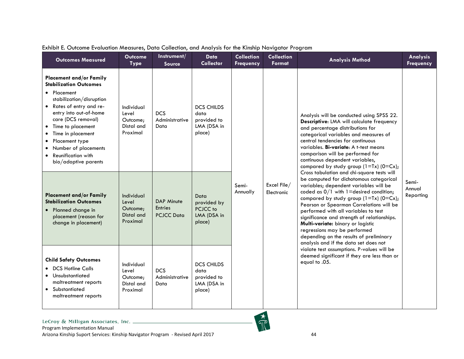<span id="page-49-0"></span>

| <b>Outcomes Measured</b>                                                                                                                                                                                                                                                                                                                                  | <b>Outcome</b><br><b>Type</b>                                                                     | Instrument/<br>Source                                    | <b>Data</b><br><b>Collector</b>                                   | <b>Collection</b><br><b>Frequency</b> | <b>Collection</b><br>Format | <b>Analysis Method</b>                                                                                                                                                                                                                                                                                                                                                                                                                                                                                                 | Analysis<br><b>Frequency</b>                                                                                                                                                                                                                                                                                                                                            |  |
|-----------------------------------------------------------------------------------------------------------------------------------------------------------------------------------------------------------------------------------------------------------------------------------------------------------------------------------------------------------|---------------------------------------------------------------------------------------------------|----------------------------------------------------------|-------------------------------------------------------------------|---------------------------------------|-----------------------------|------------------------------------------------------------------------------------------------------------------------------------------------------------------------------------------------------------------------------------------------------------------------------------------------------------------------------------------------------------------------------------------------------------------------------------------------------------------------------------------------------------------------|-------------------------------------------------------------------------------------------------------------------------------------------------------------------------------------------------------------------------------------------------------------------------------------------------------------------------------------------------------------------------|--|
| <b>Placement and/or Family</b><br><b>Stabilization Outcomes</b><br>• Placement<br>stabilization/disruption<br>• Rates of entry and re-<br>entry into out-of-home<br>care (DCS removal)<br>Time to placement<br>$\bullet$<br>Time in placement<br>Placement type<br>$\bullet$<br>Number of placements<br><b>Reunification with</b><br>bio/adoptive parents | Individual<br>Level<br>Outcome;<br>Distal and<br>Proximal                                         | <b>DCS</b><br>Administrative<br>Data                     | <b>DCS CHILDS</b><br>data<br>provided to<br>LMA (DSA in<br>place) | Semi-<br>Annually                     |                             |                                                                                                                                                                                                                                                                                                                                                                                                                                                                                                                        | Analysis will be conducted using SPSS 22.<br>Descriptive: LMA will calculate frequency<br>and percentage distributions for<br>categorical variables and measures of<br>central tendencies for continuous<br>variables. Bi-variate: A t-test means<br>comparison will be performed for<br>continuous dependent variables,<br>compared by study group $(1=Tx)$ $(0=Cx)$ ; |  |
| <b>Placement and/or Family</b><br><b>Stabilization Outcomes</b><br>• Planned change in<br>placement (reason for<br>change in placement)                                                                                                                                                                                                                   | Individual<br>Level<br>Outcome;<br>Distal and<br>Proximal                                         | <b>DAP Minute</b><br><b>Entries</b><br><b>PCJCC Data</b> | Data<br>provided by<br>PCJCC to<br>LMA (DSA in<br>place)          |                                       | Excel File/<br>Electronic   | Cross tabulation and chi-square tests will<br>be computed for dichotomous categorical<br>variables; dependent variables will be<br>coded as $0/1$ with 1=desired condition;<br>compared by study group $(1=Tx)$ $(0=Cx)$ ;<br>Pearson or Spearman Correlations will be<br>performed with all variables to test<br>significance and strength of relationships.<br>Multi-variate: binary or logistic<br>regressions may be performed<br>depending on the results of preliminary<br>analysis and if the data set does not | Semi-<br>Annual<br>Reporting                                                                                                                                                                                                                                                                                                                                            |  |
| <b>Child Safety Outcomes</b><br>• DCS Hotline Calls<br>• Unsubstantiated<br>maltreatment reports<br>• Substantiated<br>maltreatment reports                                                                                                                                                                                                               | Individual<br><b>DCS</b><br>Level<br>Administrative<br>Outcome;<br>Data<br>Distal and<br>Proximal |                                                          | <b>DCS CHILDS</b><br>data<br>provided to<br>LMA (DSA in<br>place) |                                       |                             | violate test assumptions. P-values will be<br>deemed significant if they are less than or<br>equal to .05.                                                                                                                                                                                                                                                                                                                                                                                                             |                                                                                                                                                                                                                                                                                                                                                                         |  |

#### Exhibit E. Outcome Evaluation Measures, Data Collection, and Analysis for the Kinship Navigator Program